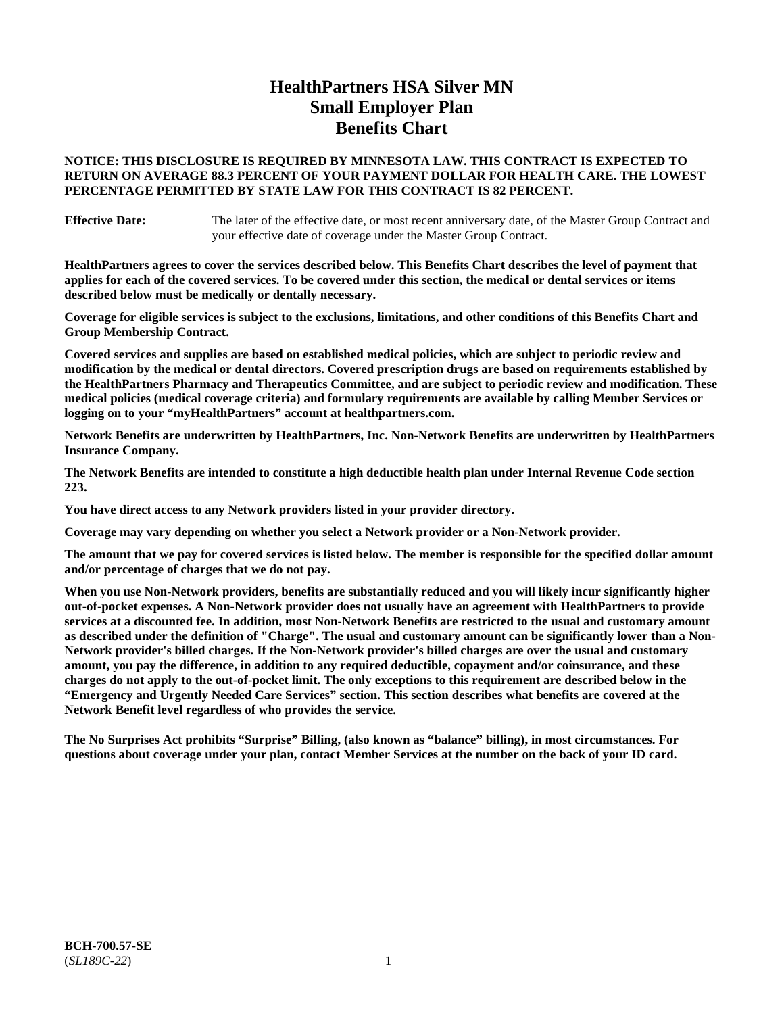# **HealthPartners HSA Silver MN Small Employer Plan Benefits Chart**

### **NOTICE: THIS DISCLOSURE IS REQUIRED BY MINNESOTA LAW. THIS CONTRACT IS EXPECTED TO RETURN ON AVERAGE 88.3 PERCENT OF YOUR PAYMENT DOLLAR FOR HEALTH CARE. THE LOWEST PERCENTAGE PERMITTED BY STATE LAW FOR THIS CONTRACT IS 82 PERCENT.**

**Effective Date:** The later of the effective date, or most recent anniversary date, of the Master Group Contract and your effective date of coverage under the Master Group Contract.

**HealthPartners agrees to cover the services described below. This Benefits Chart describes the level of payment that applies for each of the covered services. To be covered under this section, the medical or dental services or items described below must be medically or dentally necessary.**

**Coverage for eligible services is subject to the exclusions, limitations, and other conditions of this Benefits Chart and Group Membership Contract.**

**Covered services and supplies are based on established medical policies, which are subject to periodic review and modification by the medical or dental directors. Covered prescription drugs are based on requirements established by the HealthPartners Pharmacy and Therapeutics Committee, and are subject to periodic review and modification. These medical policies (medical coverage criteria) and formulary requirements are available by calling Member Services or logging on to your "myHealthPartners" account at [healthpartners.com.](https://www.healthpartners.com/hp/index.html)**

**Network Benefits are underwritten by HealthPartners, Inc. Non-Network Benefits are underwritten by HealthPartners Insurance Company.** 

**The Network Benefits are intended to constitute a high deductible health plan under Internal Revenue Code section 223.** 

**You have direct access to any Network providers listed in your provider directory.**

**Coverage may vary depending on whether you select a Network provider or a Non-Network provider.**

**The amount that we pay for covered services is listed below. The member is responsible for the specified dollar amount and/or percentage of charges that we do not pay.**

**When you use Non-Network providers, benefits are substantially reduced and you will likely incur significantly higher out-of-pocket expenses. A Non-Network provider does not usually have an agreement with HealthPartners to provide services at a discounted fee. In addition, most Non-Network Benefits are restricted to the usual and customary amount as described under the definition of "Charge". The usual and customary amount can be significantly lower than a Non-Network provider's billed charges. If the Non-Network provider's billed charges are over the usual and customary amount, you pay the difference, in addition to any required deductible, copayment and/or coinsurance, and these charges do not apply to the out-of-pocket limit. The only exceptions to this requirement are described below in the "Emergency and Urgently Needed Care Services" section. This section describes what benefits are covered at the Network Benefit level regardless of who provides the service.**

**The No Surprises Act prohibits "Surprise" Billing, (also known as "balance" billing), in most circumstances. For questions about coverage under your plan, contact Member Services at the number on the back of your ID card.**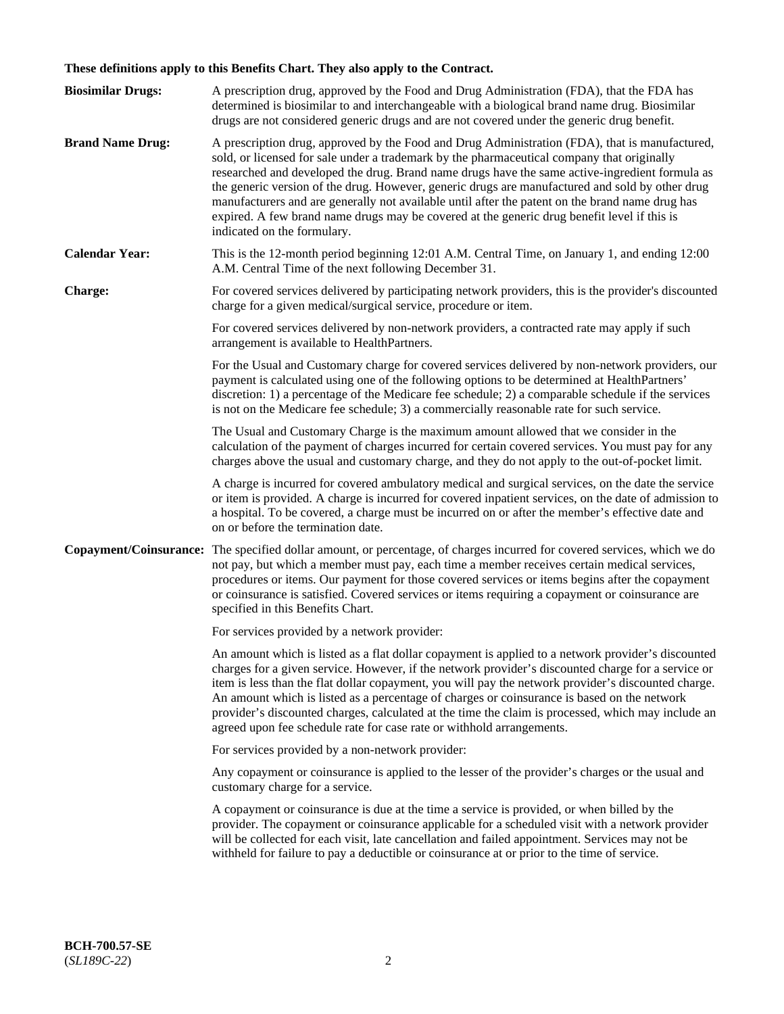# **These definitions apply to this Benefits Chart. They also apply to the Contract.**

| <b>Biosimilar Drugs:</b> | A prescription drug, approved by the Food and Drug Administration (FDA), that the FDA has<br>determined is biosimilar to and interchangeable with a biological brand name drug. Biosimilar<br>drugs are not considered generic drugs and are not covered under the generic drug benefit.                                                                                                                                                                                                                                                                                                                                           |
|--------------------------|------------------------------------------------------------------------------------------------------------------------------------------------------------------------------------------------------------------------------------------------------------------------------------------------------------------------------------------------------------------------------------------------------------------------------------------------------------------------------------------------------------------------------------------------------------------------------------------------------------------------------------|
| <b>Brand Name Drug:</b>  | A prescription drug, approved by the Food and Drug Administration (FDA), that is manufactured,<br>sold, or licensed for sale under a trademark by the pharmaceutical company that originally<br>researched and developed the drug. Brand name drugs have the same active-ingredient formula as<br>the generic version of the drug. However, generic drugs are manufactured and sold by other drug<br>manufacturers and are generally not available until after the patent on the brand name drug has<br>expired. A few brand name drugs may be covered at the generic drug benefit level if this is<br>indicated on the formulary. |
| <b>Calendar Year:</b>    | This is the 12-month period beginning 12:01 A.M. Central Time, on January 1, and ending 12:00<br>A.M. Central Time of the next following December 31.                                                                                                                                                                                                                                                                                                                                                                                                                                                                              |
| <b>Charge:</b>           | For covered services delivered by participating network providers, this is the provider's discounted<br>charge for a given medical/surgical service, procedure or item.                                                                                                                                                                                                                                                                                                                                                                                                                                                            |
|                          | For covered services delivered by non-network providers, a contracted rate may apply if such<br>arrangement is available to HealthPartners.                                                                                                                                                                                                                                                                                                                                                                                                                                                                                        |
|                          | For the Usual and Customary charge for covered services delivered by non-network providers, our<br>payment is calculated using one of the following options to be determined at HealthPartners'<br>discretion: 1) a percentage of the Medicare fee schedule; 2) a comparable schedule if the services<br>is not on the Medicare fee schedule; 3) a commercially reasonable rate for such service.                                                                                                                                                                                                                                  |
|                          | The Usual and Customary Charge is the maximum amount allowed that we consider in the<br>calculation of the payment of charges incurred for certain covered services. You must pay for any<br>charges above the usual and customary charge, and they do not apply to the out-of-pocket limit.                                                                                                                                                                                                                                                                                                                                       |
|                          | A charge is incurred for covered ambulatory medical and surgical services, on the date the service<br>or item is provided. A charge is incurred for covered inpatient services, on the date of admission to<br>a hospital. To be covered, a charge must be incurred on or after the member's effective date and<br>on or before the termination date.                                                                                                                                                                                                                                                                              |
| Copayment/Coinsurance:   | The specified dollar amount, or percentage, of charges incurred for covered services, which we do<br>not pay, but which a member must pay, each time a member receives certain medical services,<br>procedures or items. Our payment for those covered services or items begins after the copayment<br>or coinsurance is satisfied. Covered services or items requiring a copayment or coinsurance are<br>specified in this Benefits Chart.                                                                                                                                                                                        |
|                          | For services provided by a network provider:                                                                                                                                                                                                                                                                                                                                                                                                                                                                                                                                                                                       |
|                          | An amount which is listed as a flat dollar copayment is applied to a network provider's discounted<br>charges for a given service. However, if the network provider's discounted charge for a service or<br>item is less than the flat dollar copayment, you will pay the network provider's discounted charge.<br>An amount which is listed as a percentage of charges or coinsurance is based on the network<br>provider's discounted charges, calculated at the time the claim is processed, which may include an<br>agreed upon fee schedule rate for case rate or withhold arrangements.                                      |
|                          | For services provided by a non-network provider:                                                                                                                                                                                                                                                                                                                                                                                                                                                                                                                                                                                   |
|                          | Any copayment or coinsurance is applied to the lesser of the provider's charges or the usual and<br>customary charge for a service.                                                                                                                                                                                                                                                                                                                                                                                                                                                                                                |
|                          | A copayment or coinsurance is due at the time a service is provided, or when billed by the<br>provider. The copayment or coinsurance applicable for a scheduled visit with a network provider<br>will be collected for each visit, late cancellation and failed appointment. Services may not be<br>withheld for failure to pay a deductible or coinsurance at or prior to the time of service.                                                                                                                                                                                                                                    |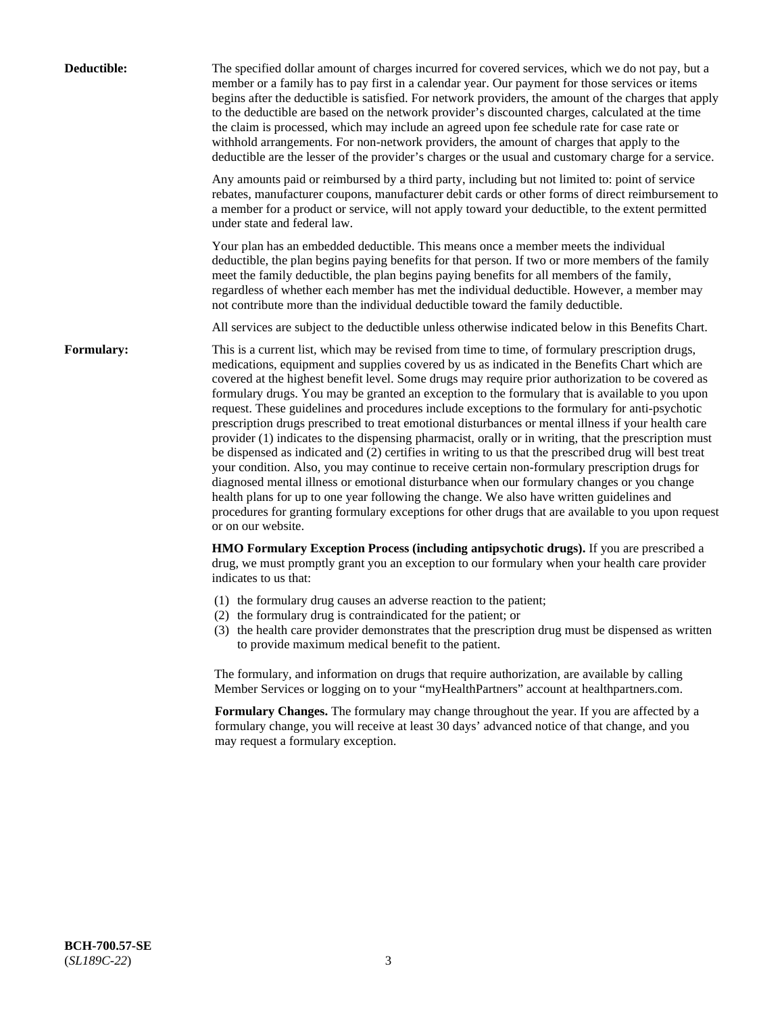| Deductible:       | The specified dollar amount of charges incurred for covered services, which we do not pay, but a<br>member or a family has to pay first in a calendar year. Our payment for those services or items<br>begins after the deductible is satisfied. For network providers, the amount of the charges that apply<br>to the deductible are based on the network provider's discounted charges, calculated at the time<br>the claim is processed, which may include an agreed upon fee schedule rate for case rate or<br>withhold arrangements. For non-network providers, the amount of charges that apply to the<br>deductible are the lesser of the provider's charges or the usual and customary charge for a service.                                                                                                                                                                                                                                                                                                                                                                                                                                                                                                                                             |
|-------------------|------------------------------------------------------------------------------------------------------------------------------------------------------------------------------------------------------------------------------------------------------------------------------------------------------------------------------------------------------------------------------------------------------------------------------------------------------------------------------------------------------------------------------------------------------------------------------------------------------------------------------------------------------------------------------------------------------------------------------------------------------------------------------------------------------------------------------------------------------------------------------------------------------------------------------------------------------------------------------------------------------------------------------------------------------------------------------------------------------------------------------------------------------------------------------------------------------------------------------------------------------------------|
|                   | Any amounts paid or reimbursed by a third party, including but not limited to: point of service<br>rebates, manufacturer coupons, manufacturer debit cards or other forms of direct reimbursement to<br>a member for a product or service, will not apply toward your deductible, to the extent permitted<br>under state and federal law.                                                                                                                                                                                                                                                                                                                                                                                                                                                                                                                                                                                                                                                                                                                                                                                                                                                                                                                        |
|                   | Your plan has an embedded deductible. This means once a member meets the individual<br>deductible, the plan begins paying benefits for that person. If two or more members of the family<br>meet the family deductible, the plan begins paying benefits for all members of the family,<br>regardless of whether each member has met the individual deductible. However, a member may<br>not contribute more than the individual deductible toward the family deductible.                                                                                                                                                                                                                                                                                                                                                                                                                                                                                                                                                                                                                                                                                                                                                                                         |
|                   | All services are subject to the deductible unless otherwise indicated below in this Benefits Chart.                                                                                                                                                                                                                                                                                                                                                                                                                                                                                                                                                                                                                                                                                                                                                                                                                                                                                                                                                                                                                                                                                                                                                              |
| <b>Formulary:</b> | This is a current list, which may be revised from time to time, of formulary prescription drugs,<br>medications, equipment and supplies covered by us as indicated in the Benefits Chart which are<br>covered at the highest benefit level. Some drugs may require prior authorization to be covered as<br>formulary drugs. You may be granted an exception to the formulary that is available to you upon<br>request. These guidelines and procedures include exceptions to the formulary for anti-psychotic<br>prescription drugs prescribed to treat emotional disturbances or mental illness if your health care<br>provider (1) indicates to the dispensing pharmacist, orally or in writing, that the prescription must<br>be dispensed as indicated and (2) certifies in writing to us that the prescribed drug will best treat<br>your condition. Also, you may continue to receive certain non-formulary prescription drugs for<br>diagnosed mental illness or emotional disturbance when our formulary changes or you change<br>health plans for up to one year following the change. We also have written guidelines and<br>procedures for granting formulary exceptions for other drugs that are available to you upon request<br>or on our website. |
|                   | HMO Formulary Exception Process (including antipsychotic drugs). If you are prescribed a<br>drug, we must promptly grant you an exception to our formulary when your health care provider<br>indicates to us that:                                                                                                                                                                                                                                                                                                                                                                                                                                                                                                                                                                                                                                                                                                                                                                                                                                                                                                                                                                                                                                               |
|                   | (1) the formulary drug causes an adverse reaction to the patient;<br>(2) the formulary drug is contraindicated for the patient; or<br>(3) the health care provider demonstrates that the prescription drug must be dispensed as written<br>to provide maximum medical benefit to the patient.                                                                                                                                                                                                                                                                                                                                                                                                                                                                                                                                                                                                                                                                                                                                                                                                                                                                                                                                                                    |
|                   | The formulary, and information on drugs that require authorization, are available by calling<br>Member Services or logging on to your "myHealthPartners" account at healthpartners.com.                                                                                                                                                                                                                                                                                                                                                                                                                                                                                                                                                                                                                                                                                                                                                                                                                                                                                                                                                                                                                                                                          |
|                   | Formulary Changes. The formulary may change throughout the year. If you are affected by a<br>formulary change, you will receive at least 30 days' advanced notice of that change, and you<br>may request a formulary exception.                                                                                                                                                                                                                                                                                                                                                                                                                                                                                                                                                                                                                                                                                                                                                                                                                                                                                                                                                                                                                                  |
|                   |                                                                                                                                                                                                                                                                                                                                                                                                                                                                                                                                                                                                                                                                                                                                                                                                                                                                                                                                                                                                                                                                                                                                                                                                                                                                  |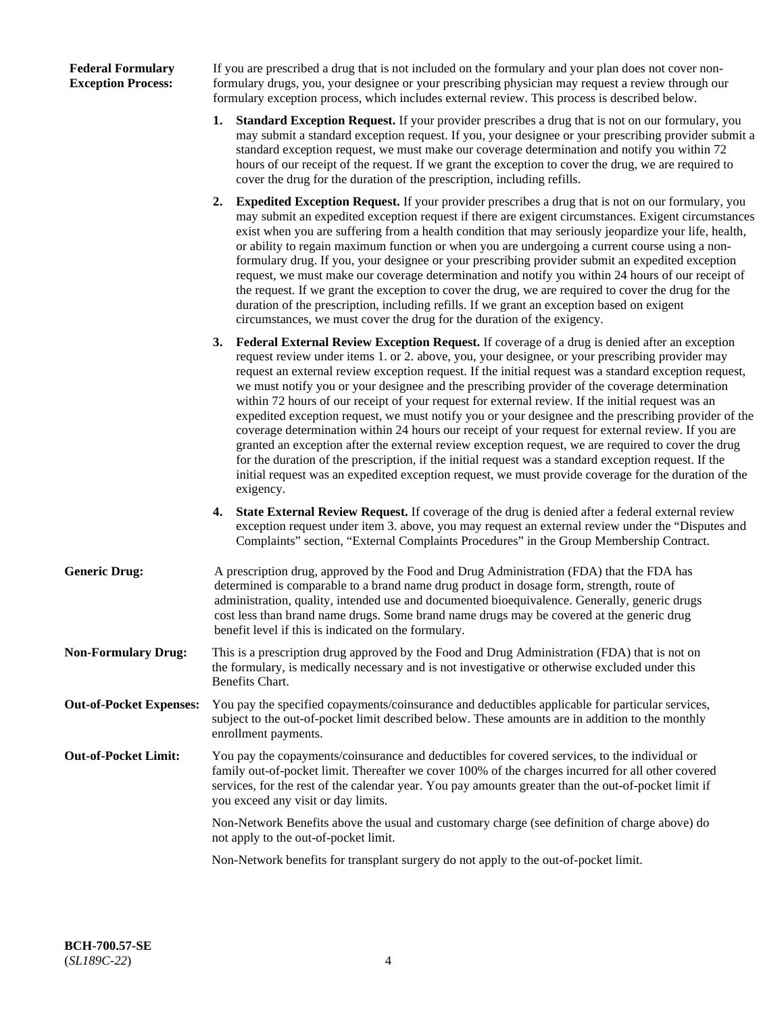### **Federal Formulary Exception Process:**

If you are prescribed a drug that is not included on the formulary and your plan does not cover nonformulary drugs, you, your designee or your prescribing physician may request a review through our formulary exception process, which includes external review. This process is described below.

- **1. Standard Exception Request.** If your provider prescribes a drug that is not on our formulary, you may submit a standard exception request. If you, your designee or your prescribing provider submit a standard exception request, we must make our coverage determination and notify you within 72 hours of our receipt of the request. If we grant the exception to cover the drug, we are required to cover the drug for the duration of the prescription, including refills.
- **2. Expedited Exception Request.** If your provider prescribes a drug that is not on our formulary, you may submit an expedited exception request if there are exigent circumstances. Exigent circumstances exist when you are suffering from a health condition that may seriously jeopardize your life, health, or ability to regain maximum function or when you are undergoing a current course using a nonformulary drug. If you, your designee or your prescribing provider submit an expedited exception request, we must make our coverage determination and notify you within 24 hours of our receipt of the request. If we grant the exception to cover the drug, we are required to cover the drug for the duration of the prescription, including refills. If we grant an exception based on exigent circumstances, we must cover the drug for the duration of the exigency.
- **3. Federal External Review Exception Request.** If coverage of a drug is denied after an exception request review under items 1. or 2. above, you, your designee, or your prescribing provider may request an external review exception request. If the initial request was a standard exception request, we must notify you or your designee and the prescribing provider of the coverage determination within 72 hours of our receipt of your request for external review. If the initial request was an expedited exception request, we must notify you or your designee and the prescribing provider of the coverage determination within 24 hours our receipt of your request for external review. If you are granted an exception after the external review exception request, we are required to cover the drug for the duration of the prescription, if the initial request was a standard exception request. If the initial request was an expedited exception request, we must provide coverage for the duration of the exigency.
- **4. State External Review Request.** If coverage of the drug is denied after a federal external review exception request under item 3. above, you may request an external review under the "Disputes and Complaints" section, "External Complaints Procedures" in the Group Membership Contract.
- **Generic Drug:** A prescription drug, approved by the Food and Drug Administration (FDA) that the FDA has determined is comparable to a brand name drug product in dosage form, strength, route of administration, quality, intended use and documented bioequivalence. Generally, generic drugs cost less than brand name drugs. Some brand name drugs may be covered at the generic drug benefit level if this is indicated on the formulary.
- **Non-Formulary Drug:** This is a prescription drug approved by the Food and Drug Administration (FDA) that is not on the formulary, is medically necessary and is not investigative or otherwise excluded under this Benefits Chart.
- **Out-of-Pocket Expenses:** You pay the specified copayments/coinsurance and deductibles applicable for particular services, subject to the out-of-pocket limit described below. These amounts are in addition to the monthly enrollment payments.
- **Out-of-Pocket Limit:** You pay the copayments/coinsurance and deductibles for covered services, to the individual or family out-of-pocket limit. Thereafter we cover 100% of the charges incurred for all other covered services, for the rest of the calendar year. You pay amounts greater than the out-of-pocket limit if you exceed any visit or day limits.

Non-Network Benefits above the usual and customary charge (see definition of charge above) do not apply to the out-of-pocket limit.

Non-Network benefits for transplant surgery do not apply to the out-of-pocket limit.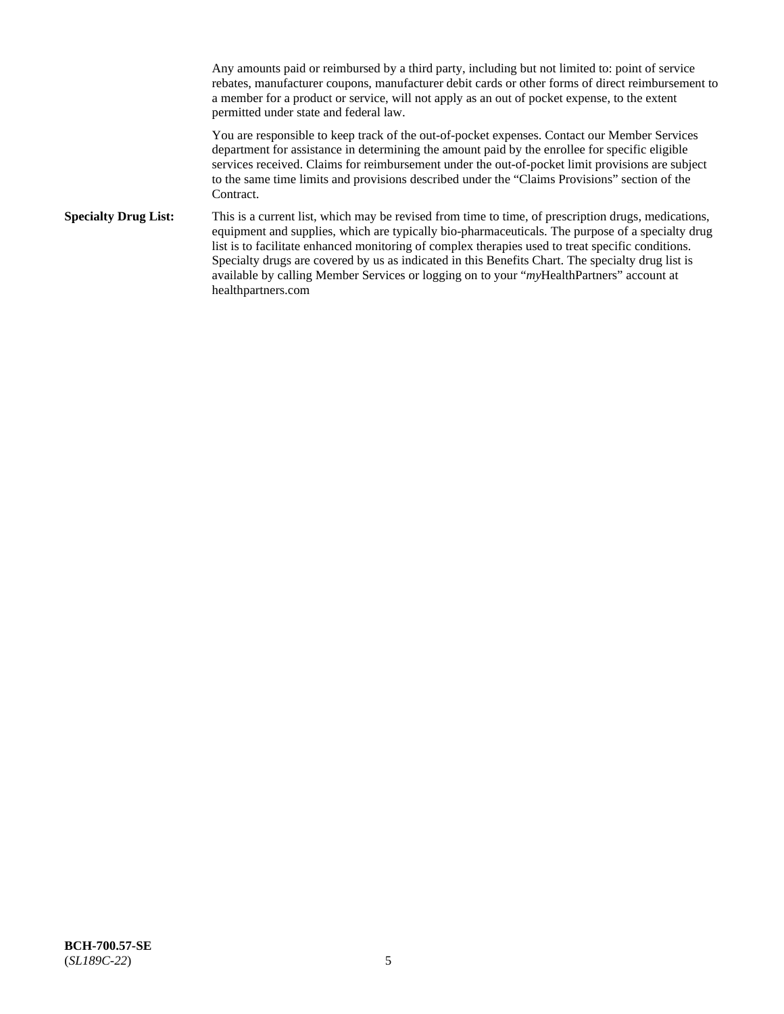Any amounts paid or reimbursed by a third party, including but not limited to: point of service rebates, manufacturer coupons, manufacturer debit cards or other forms of direct reimbursement to a member for a product or service, will not apply as an out of pocket expense, to the extent permitted under state and federal law.

You are responsible to keep track of the out-of-pocket expenses. Contact our Member Services department for assistance in determining the amount paid by the enrollee for specific eligible services received. Claims for reimbursement under the out-of-pocket limit provisions are subject to the same time limits and provisions described under the "Claims Provisions" section of the Contract.

**Specialty Drug List:** This is a current list, which may be revised from time to time, of prescription drugs, medications, equipment and supplies, which are typically bio-pharmaceuticals. The purpose of a specialty drug list is to facilitate enhanced monitoring of complex therapies used to treat specific conditions. Specialty drugs are covered by us as indicated in this Benefits Chart. The specialty drug list is available by calling Member Services or logging on to your "*my*HealthPartners" account at [healthpartners.com](https://www.healthpartners.com/hp/index.html)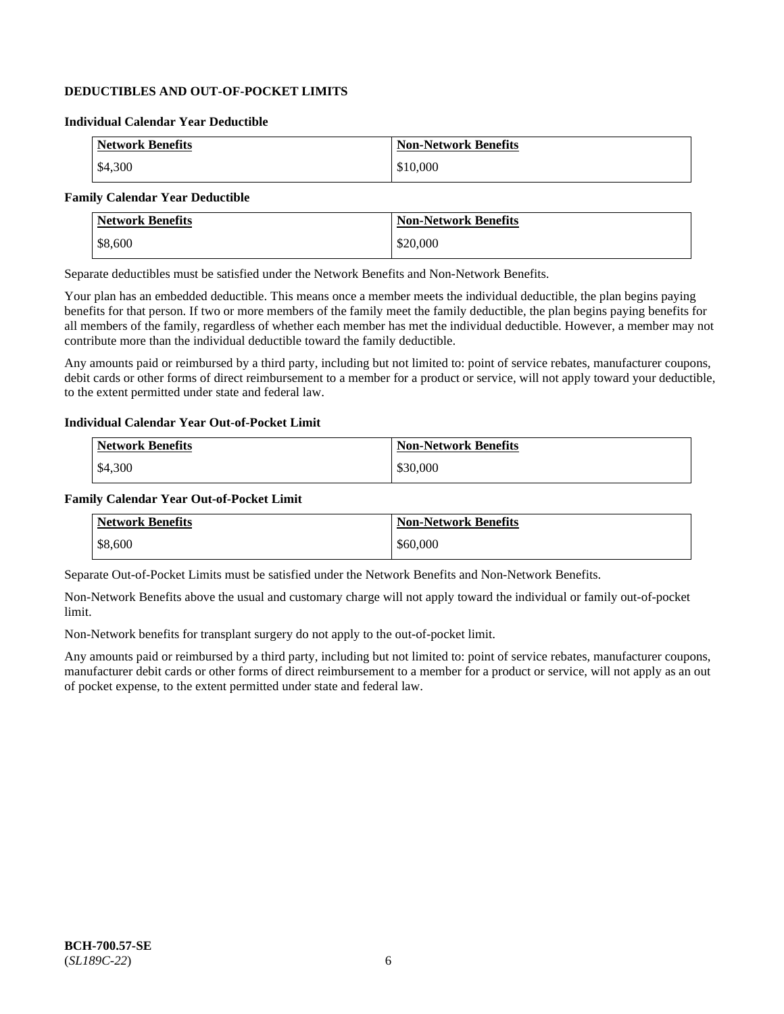# **DEDUCTIBLES AND OUT-OF-POCKET LIMITS**

### **Individual Calendar Year Deductible**

| <b>Network Benefits</b> | <b>Non-Network Benefits</b> |
|-------------------------|-----------------------------|
| \$4,300                 | \$10,000                    |

### **Family Calendar Year Deductible**

| Network Benefits | <b>Non-Network Benefits</b> |
|------------------|-----------------------------|
| \$8,600          | \$20,000                    |

Separate deductibles must be satisfied under the Network Benefits and Non-Network Benefits.

Your plan has an embedded deductible. This means once a member meets the individual deductible, the plan begins paying benefits for that person. If two or more members of the family meet the family deductible, the plan begins paying benefits for all members of the family, regardless of whether each member has met the individual deductible. However, a member may not contribute more than the individual deductible toward the family deductible.

Any amounts paid or reimbursed by a third party, including but not limited to: point of service rebates, manufacturer coupons, debit cards or other forms of direct reimbursement to a member for a product or service, will not apply toward your deductible, to the extent permitted under state and federal law.

### **Individual Calendar Year Out-of-Pocket Limit**

| <b>Network Benefits</b> | <b>Non-Network Benefits</b> |
|-------------------------|-----------------------------|
| \$4,300                 | \$30,000                    |

### **Family Calendar Year Out-of-Pocket Limit**

| <b>Network Benefits</b> | <b>Non-Network Benefits</b> |
|-------------------------|-----------------------------|
| \$8,600                 | \$60,000                    |

Separate Out-of-Pocket Limits must be satisfied under the Network Benefits and Non-Network Benefits.

Non-Network Benefits above the usual and customary charge will not apply toward the individual or family out-of-pocket limit.

Non-Network benefits for transplant surgery do not apply to the out-of-pocket limit.

Any amounts paid or reimbursed by a third party, including but not limited to: point of service rebates, manufacturer coupons, manufacturer debit cards or other forms of direct reimbursement to a member for a product or service, will not apply as an out of pocket expense, to the extent permitted under state and federal law.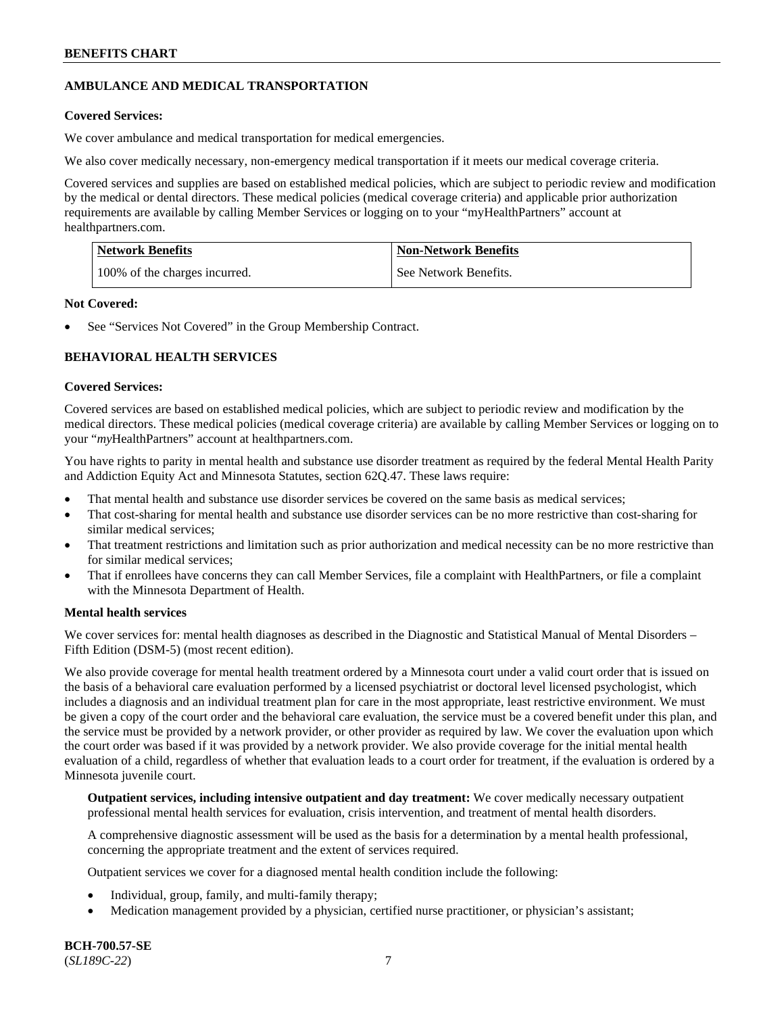# **AMBULANCE AND MEDICAL TRANSPORTATION**

### **Covered Services:**

We cover ambulance and medical transportation for medical emergencies.

We also cover medically necessary, non-emergency medical transportation if it meets our medical coverage criteria.

Covered services and supplies are based on established medical policies, which are subject to periodic review and modification by the medical or dental directors. These medical policies (medical coverage criteria) and applicable prior authorization requirements are available by calling Member Services or logging on to your "myHealthPartners" account at [healthpartners.com.](https://www.healthpartners.com/hp/index.html)

| Network Benefits              | <b>Non-Network Benefits</b> |
|-------------------------------|-----------------------------|
| 100% of the charges incurred. | See Network Benefits.       |

### **Not Covered:**

See "Services Not Covered" in the Group Membership Contract.

# **BEHAVIORAL HEALTH SERVICES**

### **Covered Services:**

Covered services are based on established medical policies, which are subject to periodic review and modification by the medical directors. These medical policies (medical coverage criteria) are available by calling Member Services or logging on to your "*my*HealthPartners" account at [healthpartners.com.](http://www.healthpartners.com/)

You have rights to parity in mental health and substance use disorder treatment as required by the federal Mental Health Parity and Addiction Equity Act and Minnesota Statutes, section 62Q.47. These laws require:

- That mental health and substance use disorder services be covered on the same basis as medical services;
- That cost-sharing for mental health and substance use disorder services can be no more restrictive than cost-sharing for similar medical services;
- That treatment restrictions and limitation such as prior authorization and medical necessity can be no more restrictive than for similar medical services;
- That if enrollees have concerns they can call Member Services, file a complaint with HealthPartners, or file a complaint with the Minnesota Department of Health.

### **Mental health services**

We cover services for: mental health diagnoses as described in the Diagnostic and Statistical Manual of Mental Disorders – Fifth Edition (DSM-5) (most recent edition).

We also provide coverage for mental health treatment ordered by a Minnesota court under a valid court order that is issued on the basis of a behavioral care evaluation performed by a licensed psychiatrist or doctoral level licensed psychologist, which includes a diagnosis and an individual treatment plan for care in the most appropriate, least restrictive environment. We must be given a copy of the court order and the behavioral care evaluation, the service must be a covered benefit under this plan, and the service must be provided by a network provider, or other provider as required by law. We cover the evaluation upon which the court order was based if it was provided by a network provider. We also provide coverage for the initial mental health evaluation of a child, regardless of whether that evaluation leads to a court order for treatment, if the evaluation is ordered by a Minnesota juvenile court.

**Outpatient services, including intensive outpatient and day treatment:** We cover medically necessary outpatient professional mental health services for evaluation, crisis intervention, and treatment of mental health disorders.

A comprehensive diagnostic assessment will be used as the basis for a determination by a mental health professional, concerning the appropriate treatment and the extent of services required.

Outpatient services we cover for a diagnosed mental health condition include the following:

- Individual, group, family, and multi-family therapy;
- Medication management provided by a physician, certified nurse practitioner, or physician's assistant;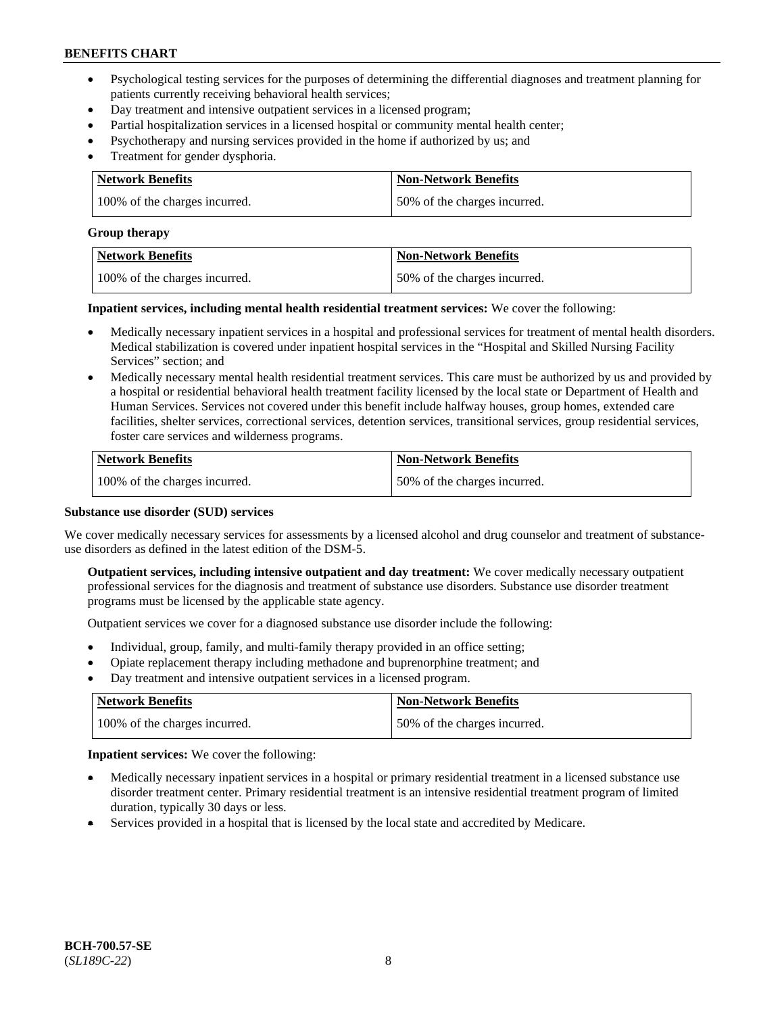- Psychological testing services for the purposes of determining the differential diagnoses and treatment planning for patients currently receiving behavioral health services;
- Day treatment and intensive outpatient services in a licensed program;
- Partial hospitalization services in a licensed hospital or community mental health center;
- Psychotherapy and nursing services provided in the home if authorized by us; and
- Treatment for gender dysphoria.

| Network Benefits              | <b>Non-Network Benefits</b>  |
|-------------------------------|------------------------------|
| 100% of the charges incurred. | 50% of the charges incurred. |

#### **Group therapy**

| Network Benefits              | <b>Non-Network Benefits</b>  |
|-------------------------------|------------------------------|
| 100% of the charges incurred. | 50% of the charges incurred. |

**Inpatient services, including mental health residential treatment services:** We cover the following:

- Medically necessary inpatient services in a hospital and professional services for treatment of mental health disorders. Medical stabilization is covered under inpatient hospital services in the "Hospital and Skilled Nursing Facility Services" section; and
- Medically necessary mental health residential treatment services. This care must be authorized by us and provided by a hospital or residential behavioral health treatment facility licensed by the local state or Department of Health and Human Services. Services not covered under this benefit include halfway houses, group homes, extended care facilities, shelter services, correctional services, detention services, transitional services, group residential services, foster care services and wilderness programs.

| <b>Network Benefits</b>       | <b>Non-Network Benefits</b>  |
|-------------------------------|------------------------------|
| 100% of the charges incurred. | 50% of the charges incurred. |

#### **Substance use disorder (SUD) services**

We cover medically necessary services for assessments by a licensed alcohol and drug counselor and treatment of substanceuse disorders as defined in the latest edition of the DSM-5.

**Outpatient services, including intensive outpatient and day treatment:** We cover medically necessary outpatient professional services for the diagnosis and treatment of substance use disorders. Substance use disorder treatment programs must be licensed by the applicable state agency.

Outpatient services we cover for a diagnosed substance use disorder include the following:

- Individual, group, family, and multi-family therapy provided in an office setting;
- Opiate replacement therapy including methadone and buprenorphine treatment; and
- Day treatment and intensive outpatient services in a licensed program.

| Network Benefits              | <b>Non-Network Benefits</b>  |
|-------------------------------|------------------------------|
| 100% of the charges incurred. | 50% of the charges incurred. |

**Inpatient services:** We cover the following:

- Medically necessary inpatient services in a hospital or primary residential treatment in a licensed substance use disorder treatment center. Primary residential treatment is an intensive residential treatment program of limited duration, typically 30 days or less.
- Services provided in a hospital that is licensed by the local state and accredited by Medicare.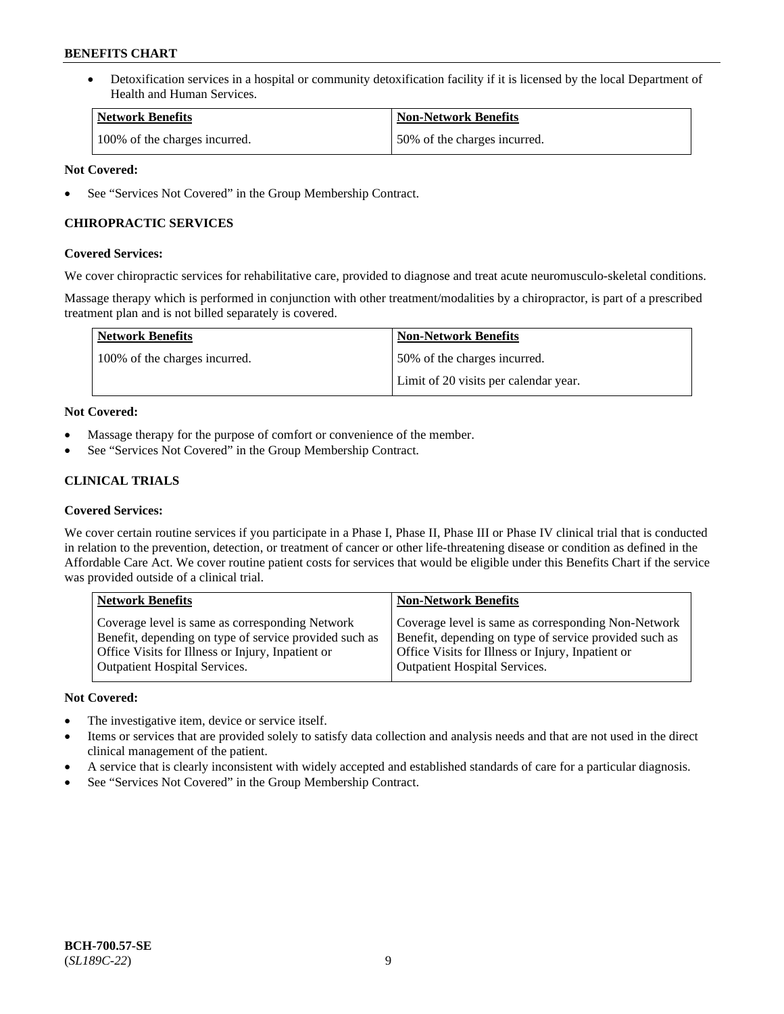• Detoxification services in a hospital or community detoxification facility if it is licensed by the local Department of Health and Human Services.

| Network Benefits              | <b>Non-Network Benefits</b>  |
|-------------------------------|------------------------------|
| 100% of the charges incurred. | 50% of the charges incurred. |

### **Not Covered:**

See "Services Not Covered" in the Group Membership Contract.

### **CHIROPRACTIC SERVICES**

### **Covered Services:**

We cover chiropractic services for rehabilitative care, provided to diagnose and treat acute neuromusculo-skeletal conditions.

Massage therapy which is performed in conjunction with other treatment/modalities by a chiropractor, is part of a prescribed treatment plan and is not billed separately is covered.

| <b>Network Benefits</b>       | <b>Non-Network Benefits</b>           |
|-------------------------------|---------------------------------------|
| 100% of the charges incurred. | 50% of the charges incurred.          |
|                               | Limit of 20 visits per calendar year. |

### **Not Covered:**

- Massage therapy for the purpose of comfort or convenience of the member.
- See "Services Not Covered" in the Group Membership Contract.

# **CLINICAL TRIALS**

### **Covered Services:**

We cover certain routine services if you participate in a Phase I, Phase II, Phase III or Phase IV clinical trial that is conducted in relation to the prevention, detection, or treatment of cancer or other life-threatening disease or condition as defined in the Affordable Care Act. We cover routine patient costs for services that would be eligible under this Benefits Chart if the service was provided outside of a clinical trial.

| <b>Network Benefits</b>                                                                                                                                                                                | <b>Non-Network Benefits</b>                                                                                                                                                                         |
|--------------------------------------------------------------------------------------------------------------------------------------------------------------------------------------------------------|-----------------------------------------------------------------------------------------------------------------------------------------------------------------------------------------------------|
| Coverage level is same as corresponding Network<br>Benefit, depending on type of service provided such as<br>Office Visits for Illness or Injury, Inpatient or<br><b>Outpatient Hospital Services.</b> | Coverage level is same as corresponding Non-Network<br>Benefit, depending on type of service provided such as<br>Office Visits for Illness or Injury, Inpatient or<br>Outpatient Hospital Services. |
|                                                                                                                                                                                                        |                                                                                                                                                                                                     |

### **Not Covered:**

- The investigative item, device or service itself.
- Items or services that are provided solely to satisfy data collection and analysis needs and that are not used in the direct clinical management of the patient.
- A service that is clearly inconsistent with widely accepted and established standards of care for a particular diagnosis.
- See "Services Not Covered" in the Group Membership Contract.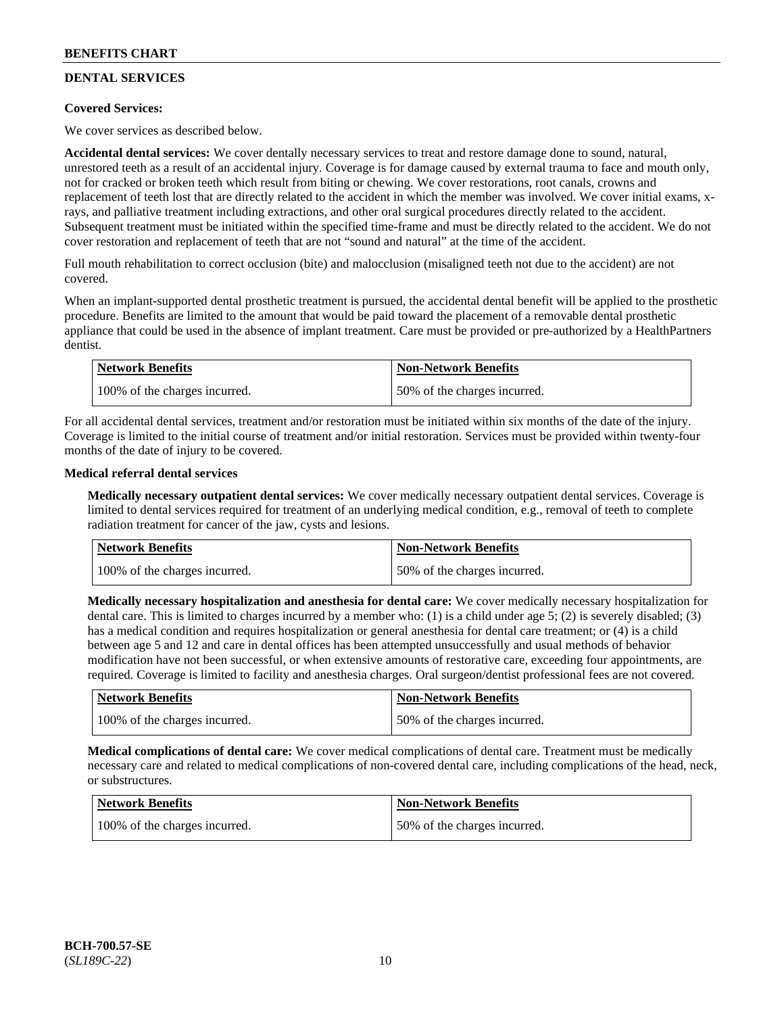# **DENTAL SERVICES**

### **Covered Services:**

We cover services as described below.

**Accidental dental services:** We cover dentally necessary services to treat and restore damage done to sound, natural, unrestored teeth as a result of an accidental injury. Coverage is for damage caused by external trauma to face and mouth only, not for cracked or broken teeth which result from biting or chewing. We cover restorations, root canals, crowns and replacement of teeth lost that are directly related to the accident in which the member was involved. We cover initial exams, xrays, and palliative treatment including extractions, and other oral surgical procedures directly related to the accident. Subsequent treatment must be initiated within the specified time-frame and must be directly related to the accident. We do not cover restoration and replacement of teeth that are not "sound and natural" at the time of the accident.

Full mouth rehabilitation to correct occlusion (bite) and malocclusion (misaligned teeth not due to the accident) are not covered.

When an implant-supported dental prosthetic treatment is pursued, the accidental dental benefit will be applied to the prosthetic procedure. Benefits are limited to the amount that would be paid toward the placement of a removable dental prosthetic appliance that could be used in the absence of implant treatment. Care must be provided or pre-authorized by a HealthPartners dentist.

| Network Benefits              | <b>Non-Network Benefits</b>  |
|-------------------------------|------------------------------|
| 100% of the charges incurred. | 50% of the charges incurred. |

For all accidental dental services, treatment and/or restoration must be initiated within six months of the date of the injury. Coverage is limited to the initial course of treatment and/or initial restoration. Services must be provided within twenty-four months of the date of injury to be covered.

### **Medical referral dental services**

**Medically necessary outpatient dental services:** We cover medically necessary outpatient dental services. Coverage is limited to dental services required for treatment of an underlying medical condition, e.g., removal of teeth to complete radiation treatment for cancer of the jaw, cysts and lesions.

| Network Benefits              | <b>Non-Network Benefits</b>  |
|-------------------------------|------------------------------|
| 100% of the charges incurred. | 50% of the charges incurred. |

**Medically necessary hospitalization and anesthesia for dental care:** We cover medically necessary hospitalization for dental care. This is limited to charges incurred by a member who: (1) is a child under age 5; (2) is severely disabled; (3) has a medical condition and requires hospitalization or general anesthesia for dental care treatment; or (4) is a child between age 5 and 12 and care in dental offices has been attempted unsuccessfully and usual methods of behavior modification have not been successful, or when extensive amounts of restorative care, exceeding four appointments, are required. Coverage is limited to facility and anesthesia charges. Oral surgeon/dentist professional fees are not covered.

| <b>Network Benefits</b>       | <b>Non-Network Benefits</b>  |
|-------------------------------|------------------------------|
| 100% of the charges incurred. | 50% of the charges incurred. |

**Medical complications of dental care:** We cover medical complications of dental care. Treatment must be medically necessary care and related to medical complications of non-covered dental care, including complications of the head, neck, or substructures.

| Network Benefits              | <b>Non-Network Benefits</b>  |
|-------------------------------|------------------------------|
| 100% of the charges incurred. | 50% of the charges incurred. |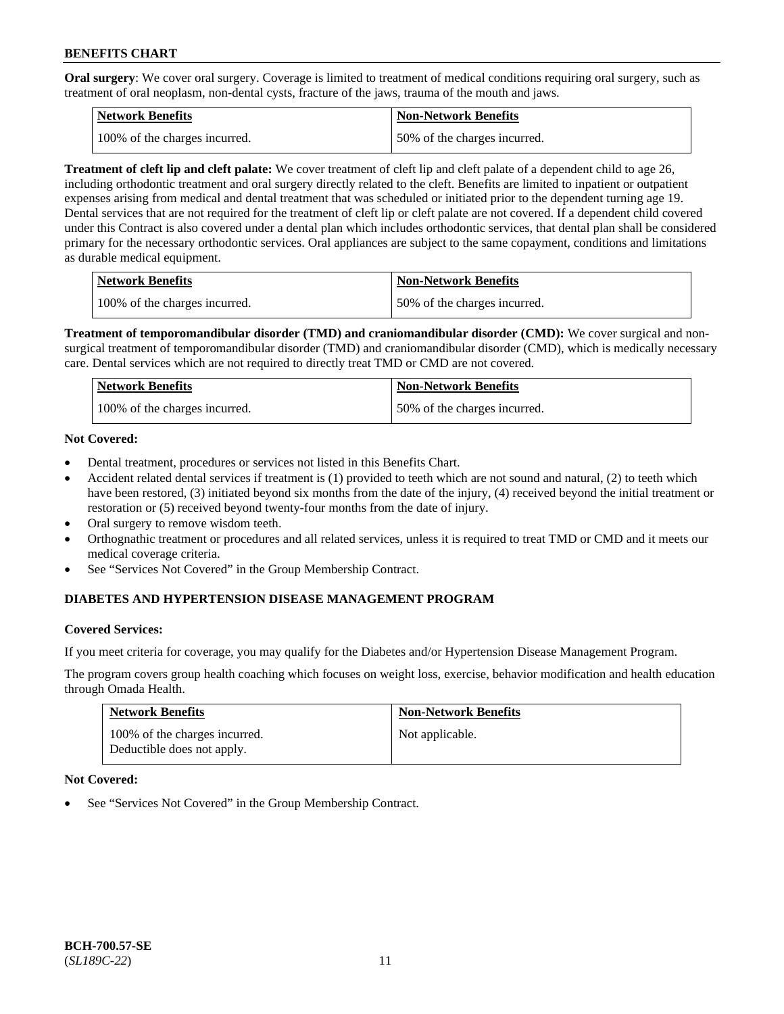**Oral surgery**: We cover oral surgery. Coverage is limited to treatment of medical conditions requiring oral surgery, such as treatment of oral neoplasm, non-dental cysts, fracture of the jaws, trauma of the mouth and jaws.

| <b>Network Benefits</b>       | <b>Non-Network Benefits</b>  |
|-------------------------------|------------------------------|
| 100% of the charges incurred. | 50% of the charges incurred. |

**Treatment of cleft lip and cleft palate:** We cover treatment of cleft lip and cleft palate of a dependent child to age 26, including orthodontic treatment and oral surgery directly related to the cleft. Benefits are limited to inpatient or outpatient expenses arising from medical and dental treatment that was scheduled or initiated prior to the dependent turning age 19. Dental services that are not required for the treatment of cleft lip or cleft palate are not covered. If a dependent child covered under this Contract is also covered under a dental plan which includes orthodontic services, that dental plan shall be considered primary for the necessary orthodontic services. Oral appliances are subject to the same copayment, conditions and limitations as durable medical equipment.

| <b>Network Benefits</b>       | <b>Non-Network Benefits</b>  |
|-------------------------------|------------------------------|
| 100% of the charges incurred. | 50% of the charges incurred. |

**Treatment of temporomandibular disorder (TMD) and craniomandibular disorder (CMD):** We cover surgical and nonsurgical treatment of temporomandibular disorder (TMD) and craniomandibular disorder (CMD), which is medically necessary care. Dental services which are not required to directly treat TMD or CMD are not covered.

| Network Benefits              | <b>Non-Network Benefits</b>  |
|-------------------------------|------------------------------|
| 100% of the charges incurred. | 50% of the charges incurred. |

### **Not Covered:**

- Dental treatment, procedures or services not listed in this Benefits Chart.
- Accident related dental services if treatment is (1) provided to teeth which are not sound and natural, (2) to teeth which have been restored, (3) initiated beyond six months from the date of the injury, (4) received beyond the initial treatment or restoration or (5) received beyond twenty-four months from the date of injury.
- Oral surgery to remove wisdom teeth.
- Orthognathic treatment or procedures and all related services, unless it is required to treat TMD or CMD and it meets our medical coverage criteria.
- See "Services Not Covered" in the Group Membership Contract.

### **DIABETES AND HYPERTENSION DISEASE MANAGEMENT PROGRAM**

#### **Covered Services:**

If you meet criteria for coverage, you may qualify for the Diabetes and/or Hypertension Disease Management Program.

The program covers group health coaching which focuses on weight loss, exercise, behavior modification and health education through Omada Health.

| <b>Network Benefits</b>                                     | <b>Non-Network Benefits</b> |
|-------------------------------------------------------------|-----------------------------|
| 100% of the charges incurred.<br>Deductible does not apply. | Not applicable.             |

#### **Not Covered:**

See "Services Not Covered" in the Group Membership Contract.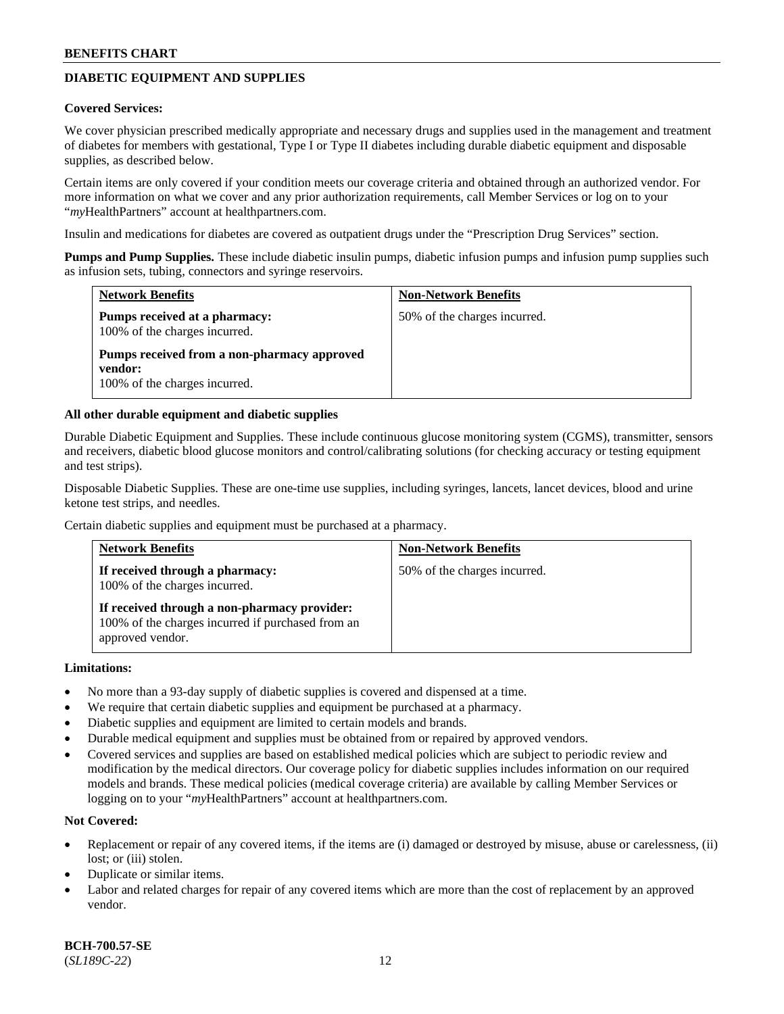# **DIABETIC EQUIPMENT AND SUPPLIES**

#### **Covered Services:**

We cover physician prescribed medically appropriate and necessary drugs and supplies used in the management and treatment of diabetes for members with gestational, Type I or Type II diabetes including durable diabetic equipment and disposable supplies, as described below.

Certain items are only covered if your condition meets our coverage criteria and obtained through an authorized vendor. For more information on what we cover and any prior authorization requirements, call Member Services or log on to your "*my*HealthPartners" account at [healthpartners.com.](http://www.healthpartners.com/)

Insulin and medications for diabetes are covered as outpatient drugs under the "Prescription Drug Services" section.

**Pumps and Pump Supplies.** These include diabetic insulin pumps, diabetic infusion pumps and infusion pump supplies such as infusion sets, tubing, connectors and syringe reservoirs.

| <b>Network Benefits</b>                                                                 | <b>Non-Network Benefits</b>  |
|-----------------------------------------------------------------------------------------|------------------------------|
| Pumps received at a pharmacy:<br>100% of the charges incurred.                          | 50% of the charges incurred. |
| Pumps received from a non-pharmacy approved<br>vendor:<br>100% of the charges incurred. |                              |

### **All other durable equipment and diabetic supplies**

Durable Diabetic Equipment and Supplies. These include continuous glucose monitoring system (CGMS), transmitter, sensors and receivers, diabetic blood glucose monitors and control/calibrating solutions (for checking accuracy or testing equipment and test strips).

Disposable Diabetic Supplies. These are one-time use supplies, including syringes, lancets, lancet devices, blood and urine ketone test strips, and needles.

Certain diabetic supplies and equipment must be purchased at a pharmacy.

| <b>Network Benefits</b>                                                                                               | <b>Non-Network Benefits</b>  |
|-----------------------------------------------------------------------------------------------------------------------|------------------------------|
| If received through a pharmacy:<br>100% of the charges incurred.                                                      | 50% of the charges incurred. |
| If received through a non-pharmacy provider:<br>100% of the charges incurred if purchased from an<br>approved vendor. |                              |

#### **Limitations:**

- No more than a 93-day supply of diabetic supplies is covered and dispensed at a time.
- We require that certain diabetic supplies and equipment be purchased at a pharmacy.
- Diabetic supplies and equipment are limited to certain models and brands.
- Durable medical equipment and supplies must be obtained from or repaired by approved vendors.
- Covered services and supplies are based on established medical policies which are subject to periodic review and modification by the medical directors. Our coverage policy for diabetic supplies includes information on our required models and brands. These medical policies (medical coverage criteria) are available by calling Member Services or logging on to your "*my*HealthPartners" account at [healthpartners.com.](http://www.healthpartners.com/)

### **Not Covered:**

- Replacement or repair of any covered items, if the items are (i) damaged or destroyed by misuse, abuse or carelessness, (ii) lost; or (iii) stolen.
- Duplicate or similar items.
- Labor and related charges for repair of any covered items which are more than the cost of replacement by an approved vendor.

**BCH-700.57-SE** (*SL189C-22*) 12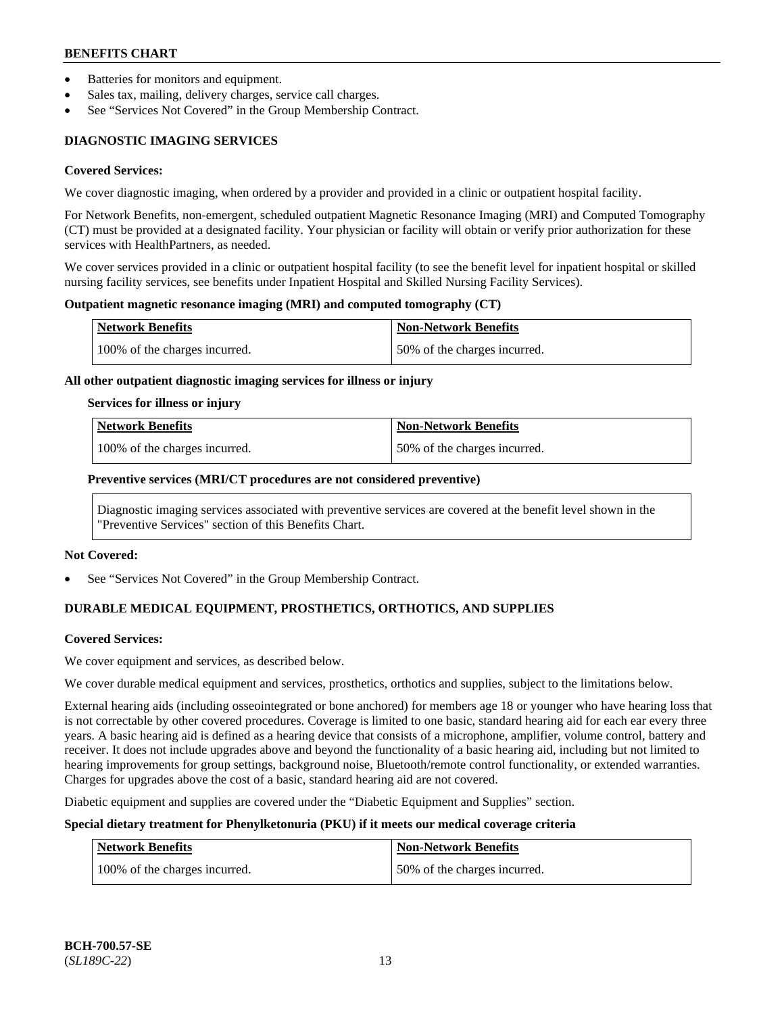- Batteries for monitors and equipment.
- Sales tax, mailing, delivery charges, service call charges.
- See "Services Not Covered" in the Group Membership Contract.

# **DIAGNOSTIC IMAGING SERVICES**

#### **Covered Services:**

We cover diagnostic imaging, when ordered by a provider and provided in a clinic or outpatient hospital facility.

For Network Benefits, non-emergent, scheduled outpatient Magnetic Resonance Imaging (MRI) and Computed Tomography (CT) must be provided at a designated facility. Your physician or facility will obtain or verify prior authorization for these services with HealthPartners, as needed.

We cover services provided in a clinic or outpatient hospital facility (to see the benefit level for inpatient hospital or skilled nursing facility services, see benefits under Inpatient Hospital and Skilled Nursing Facility Services).

#### **Outpatient magnetic resonance imaging (MRI) and computed tomography (CT)**

| Network Benefits              | <b>Non-Network Benefits</b>  |
|-------------------------------|------------------------------|
| 100% of the charges incurred. | 50% of the charges incurred. |

### **All other outpatient diagnostic imaging services for illness or injury**

#### **Services for illness or injury**

| Network Benefits              | <b>Non-Network Benefits</b>  |
|-------------------------------|------------------------------|
| 100% of the charges incurred. | 50% of the charges incurred. |

### **Preventive services (MRI/CT procedures are not considered preventive)**

Diagnostic imaging services associated with preventive services are covered at the benefit level shown in the "Preventive Services" section of this Benefits Chart.

#### **Not Covered:**

See "Services Not Covered" in the Group Membership Contract.

# **DURABLE MEDICAL EQUIPMENT, PROSTHETICS, ORTHOTICS, AND SUPPLIES**

#### **Covered Services:**

We cover equipment and services, as described below.

We cover durable medical equipment and services, prosthetics, orthotics and supplies, subject to the limitations below.

External hearing aids (including osseointegrated or bone anchored) for members age 18 or younger who have hearing loss that is not correctable by other covered procedures. Coverage is limited to one basic, standard hearing aid for each ear every three years. A basic hearing aid is defined as a hearing device that consists of a microphone, amplifier, volume control, battery and receiver. It does not include upgrades above and beyond the functionality of a basic hearing aid, including but not limited to hearing improvements for group settings, background noise, Bluetooth/remote control functionality, or extended warranties. Charges for upgrades above the cost of a basic, standard hearing aid are not covered.

Diabetic equipment and supplies are covered under the "Diabetic Equipment and Supplies" section.

### **Special dietary treatment for Phenylketonuria (PKU) if it meets our medical coverage criteria**

| <b>Network Benefits</b>       | Non-Network Benefits         |
|-------------------------------|------------------------------|
| 100% of the charges incurred. | 50% of the charges incurred. |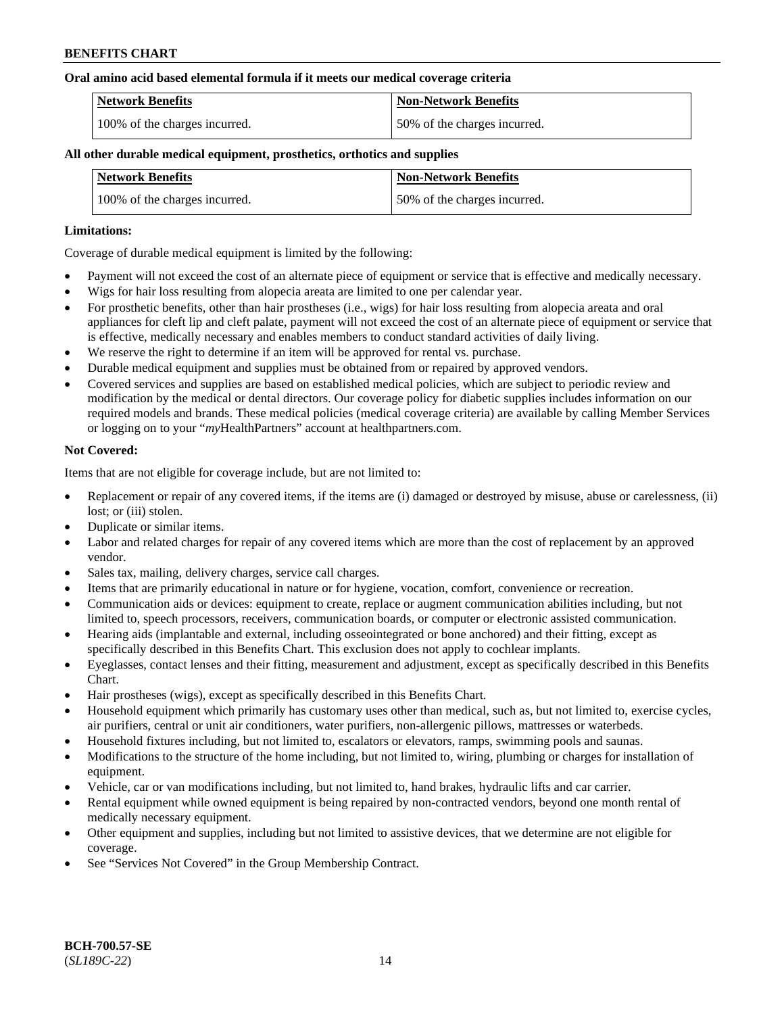### **Oral amino acid based elemental formula if it meets our medical coverage criteria**

| Network Benefits              | <b>Non-Network Benefits</b>  |
|-------------------------------|------------------------------|
| 100% of the charges incurred. | 50% of the charges incurred. |

### **All other durable medical equipment, prosthetics, orthotics and supplies**

| <b>Network Benefits</b>       | <b>Non-Network Benefits</b>  |
|-------------------------------|------------------------------|
| 100% of the charges incurred. | 50% of the charges incurred. |

### **Limitations:**

Coverage of durable medical equipment is limited by the following:

- Payment will not exceed the cost of an alternate piece of equipment or service that is effective and medically necessary.
- Wigs for hair loss resulting from alopecia areata are limited to one per calendar year.
- For prosthetic benefits, other than hair prostheses (i.e., wigs) for hair loss resulting from alopecia areata and oral appliances for cleft lip and cleft palate, payment will not exceed the cost of an alternate piece of equipment or service that is effective, medically necessary and enables members to conduct standard activities of daily living.
- We reserve the right to determine if an item will be approved for rental vs. purchase.
- Durable medical equipment and supplies must be obtained from or repaired by approved vendors.
- Covered services and supplies are based on established medical policies, which are subject to periodic review and modification by the medical or dental directors. Our coverage policy for diabetic supplies includes information on our required models and brands. These medical policies (medical coverage criteria) are available by calling Member Services or logging on to your "*my*HealthPartners" account a[t healthpartners.com.](https://www.healthpartners.com/hp/index.html)

### **Not Covered:**

Items that are not eligible for coverage include, but are not limited to:

- Replacement or repair of any covered items, if the items are (i) damaged or destroyed by misuse, abuse or carelessness, (ii) lost; or (iii) stolen.
- Duplicate or similar items.
- Labor and related charges for repair of any covered items which are more than the cost of replacement by an approved vendor.
- Sales tax, mailing, delivery charges, service call charges.
- Items that are primarily educational in nature or for hygiene, vocation, comfort, convenience or recreation.
- Communication aids or devices: equipment to create, replace or augment communication abilities including, but not limited to, speech processors, receivers, communication boards, or computer or electronic assisted communication.
- Hearing aids (implantable and external, including osseointegrated or bone anchored) and their fitting, except as specifically described in this Benefits Chart. This exclusion does not apply to cochlear implants.
- Eyeglasses, contact lenses and their fitting, measurement and adjustment, except as specifically described in this Benefits Chart.
- Hair prostheses (wigs), except as specifically described in this Benefits Chart.
- Household equipment which primarily has customary uses other than medical, such as, but not limited to, exercise cycles, air purifiers, central or unit air conditioners, water purifiers, non-allergenic pillows, mattresses or waterbeds.
- Household fixtures including, but not limited to, escalators or elevators, ramps, swimming pools and saunas.
- Modifications to the structure of the home including, but not limited to, wiring, plumbing or charges for installation of equipment.
- Vehicle, car or van modifications including, but not limited to, hand brakes, hydraulic lifts and car carrier.
- Rental equipment while owned equipment is being repaired by non-contracted vendors, beyond one month rental of medically necessary equipment.
- Other equipment and supplies, including but not limited to assistive devices, that we determine are not eligible for coverage.
- See "Services Not Covered" in the Group Membership Contract.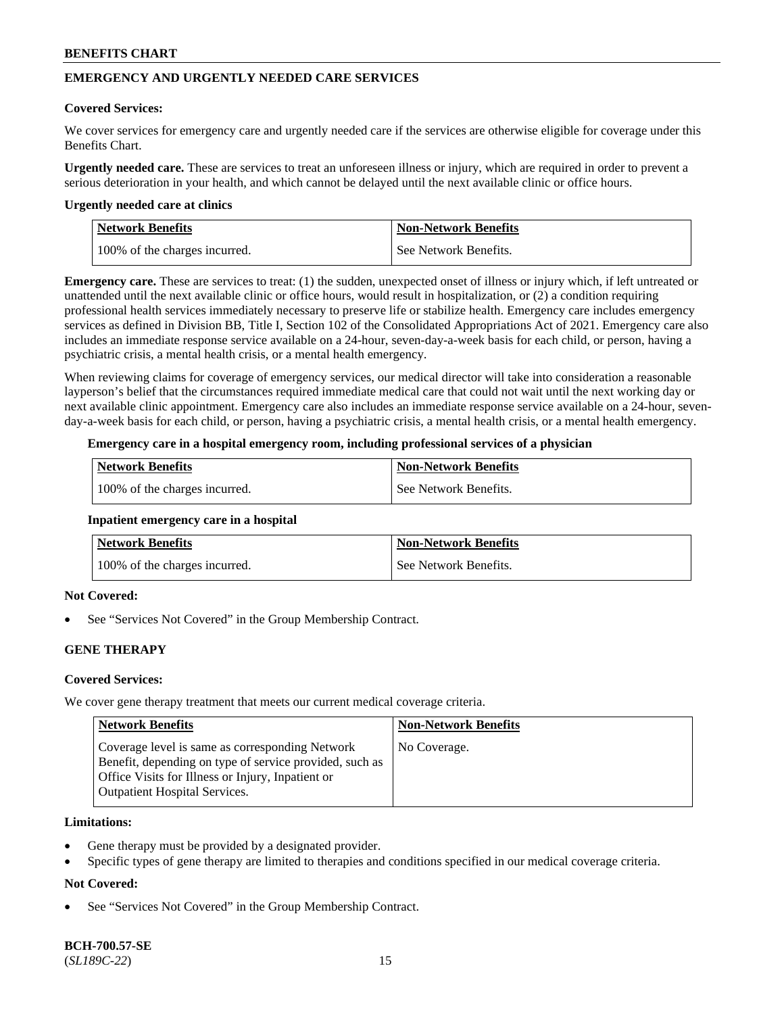# **EMERGENCY AND URGENTLY NEEDED CARE SERVICES**

### **Covered Services:**

We cover services for emergency care and urgently needed care if the services are otherwise eligible for coverage under this Benefits Chart.

**Urgently needed care.** These are services to treat an unforeseen illness or injury, which are required in order to prevent a serious deterioration in your health, and which cannot be delayed until the next available clinic or office hours.

#### **Urgently needed care at clinics**

| Network Benefits              | <b>Non-Network Benefits</b> |
|-------------------------------|-----------------------------|
| 100% of the charges incurred. | See Network Benefits.       |

**Emergency care.** These are services to treat: (1) the sudden, unexpected onset of illness or injury which, if left untreated or unattended until the next available clinic or office hours, would result in hospitalization, or (2) a condition requiring professional health services immediately necessary to preserve life or stabilize health. Emergency care includes emergency services as defined in Division BB, Title I, Section 102 of the Consolidated Appropriations Act of 2021. Emergency care also includes an immediate response service available on a 24-hour, seven-day-a-week basis for each child, or person, having a psychiatric crisis, a mental health crisis, or a mental health emergency.

When reviewing claims for coverage of emergency services, our medical director will take into consideration a reasonable layperson's belief that the circumstances required immediate medical care that could not wait until the next working day or next available clinic appointment. Emergency care also includes an immediate response service available on a 24-hour, sevenday-a-week basis for each child, or person, having a psychiatric crisis, a mental health crisis, or a mental health emergency.

### **Emergency care in a hospital emergency room, including professional services of a physician**

| <b>Network Benefits</b>       | <b>Non-Network Benefits</b> |
|-------------------------------|-----------------------------|
| 100% of the charges incurred. | See Network Benefits.       |

#### **Inpatient emergency care in a hospital**

| <b>Network Benefits</b>       | <b>Non-Network Benefits</b> |
|-------------------------------|-----------------------------|
| 100% of the charges incurred. | See Network Benefits.       |

### **Not Covered:**

See "Services Not Covered" in the Group Membership Contract.

### **GENE THERAPY**

### **Covered Services:**

We cover gene therapy treatment that meets our current medical coverage criteria.

| Network Benefits                                                                                                                                                                                        | <b>Non-Network Benefits</b> |
|---------------------------------------------------------------------------------------------------------------------------------------------------------------------------------------------------------|-----------------------------|
| Coverage level is same as corresponding Network<br>Benefit, depending on type of service provided, such as<br>Office Visits for Illness or Injury, Inpatient or<br><b>Outpatient Hospital Services.</b> | No Coverage.                |

#### **Limitations:**

- Gene therapy must be provided by a designated provider.
- Specific types of gene therapy are limited to therapies and conditions specified in our medical coverage criteria.

### **Not Covered:**

See "Services Not Covered" in the Group Membership Contract.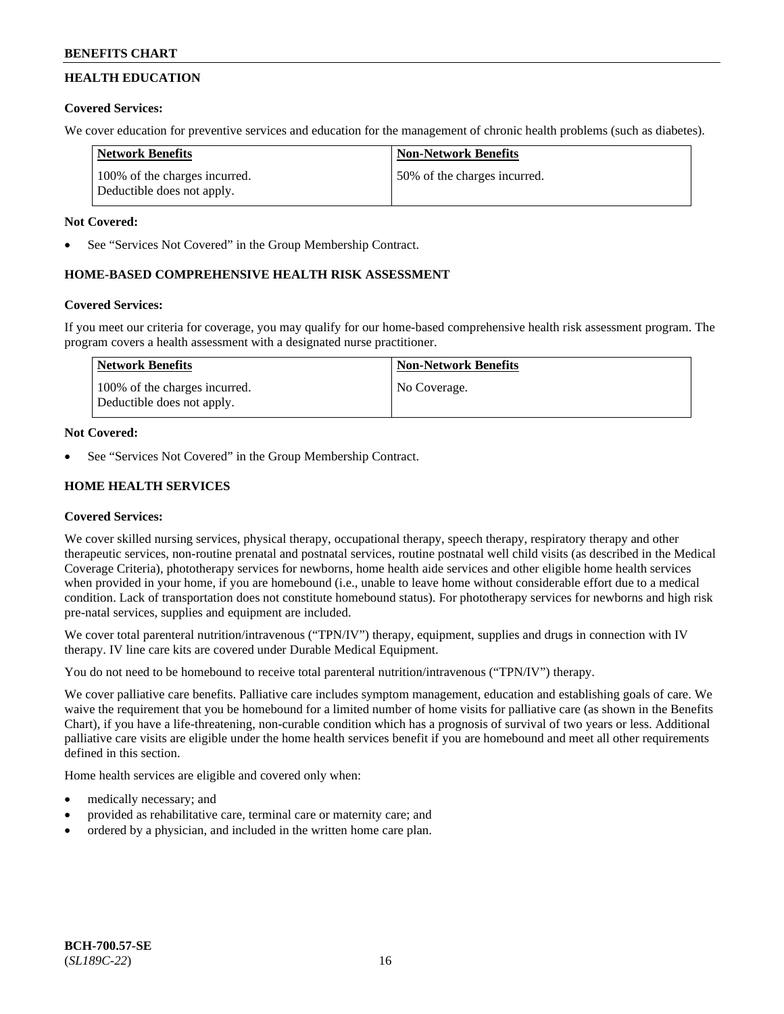# **HEALTH EDUCATION**

# **Covered Services:**

We cover education for preventive services and education for the management of chronic health problems (such as diabetes).

| <b>Network Benefits</b>                                     | <b>Non-Network Benefits</b>  |
|-------------------------------------------------------------|------------------------------|
| 100% of the charges incurred.<br>Deductible does not apply. | 50% of the charges incurred. |

### **Not Covered:**

See "Services Not Covered" in the Group Membership Contract.

# **HOME-BASED COMPREHENSIVE HEALTH RISK ASSESSMENT**

### **Covered Services:**

If you meet our criteria for coverage, you may qualify for our home-based comprehensive health risk assessment program. The program covers a health assessment with a designated nurse practitioner.

| Network Benefits                                            | <b>Non-Network Benefits</b> |
|-------------------------------------------------------------|-----------------------------|
| 100% of the charges incurred.<br>Deductible does not apply. | No Coverage.                |

# **Not Covered:**

See "Services Not Covered" in the Group Membership Contract.

# **HOME HEALTH SERVICES**

### **Covered Services:**

We cover skilled nursing services, physical therapy, occupational therapy, speech therapy, respiratory therapy and other therapeutic services, non-routine prenatal and postnatal services, routine postnatal well child visits (as described in the Medical Coverage Criteria), phototherapy services for newborns, home health aide services and other eligible home health services when provided in your home, if you are homebound (i.e., unable to leave home without considerable effort due to a medical condition. Lack of transportation does not constitute homebound status). For phototherapy services for newborns and high risk pre-natal services, supplies and equipment are included.

We cover total parenteral nutrition/intravenous ("TPN/IV") therapy, equipment, supplies and drugs in connection with IV therapy. IV line care kits are covered under Durable Medical Equipment.

You do not need to be homebound to receive total parenteral nutrition/intravenous ("TPN/IV") therapy.

We cover palliative care benefits. Palliative care includes symptom management, education and establishing goals of care. We waive the requirement that you be homebound for a limited number of home visits for palliative care (as shown in the Benefits Chart), if you have a life-threatening, non-curable condition which has a prognosis of survival of two years or less. Additional palliative care visits are eligible under the home health services benefit if you are homebound and meet all other requirements defined in this section.

Home health services are eligible and covered only when:

- medically necessary; and
- provided as rehabilitative care, terminal care or maternity care; and
- ordered by a physician, and included in the written home care plan.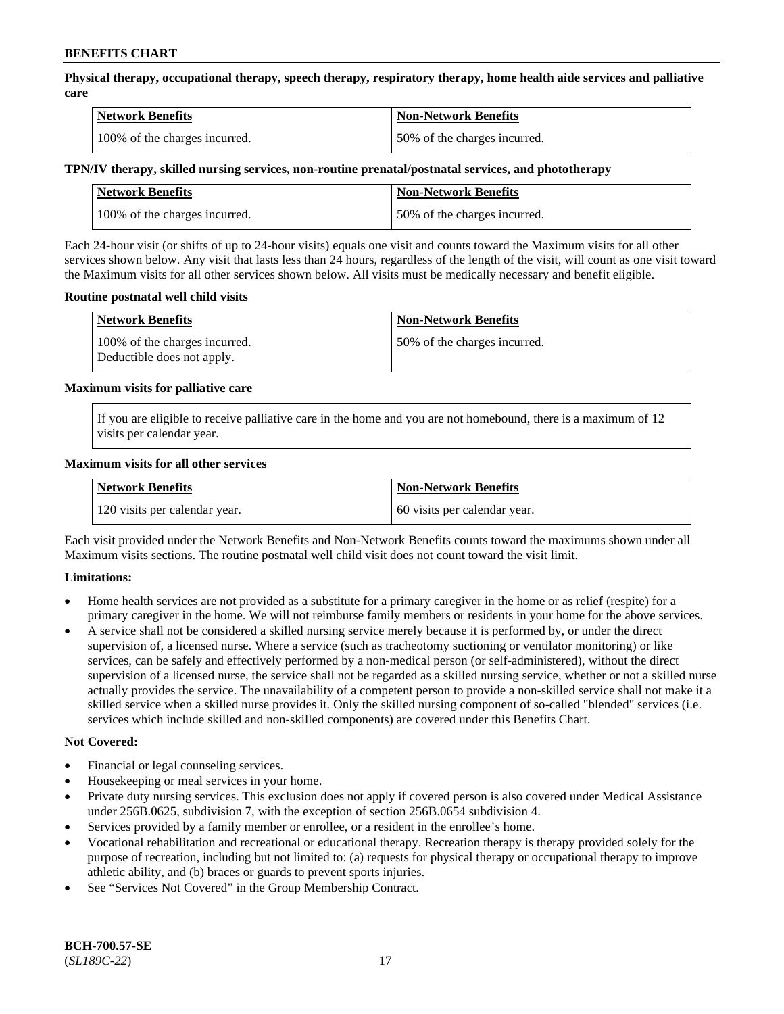**Physical therapy, occupational therapy, speech therapy, respiratory therapy, home health aide services and palliative care**

| <b>Network Benefits</b>       | <b>Non-Network Benefits</b>  |
|-------------------------------|------------------------------|
| 100% of the charges incurred. | 50% of the charges incurred. |

### **TPN/IV therapy, skilled nursing services, non-routine prenatal/postnatal services, and phototherapy**

| Network Benefits              | <b>Non-Network Benefits</b>  |
|-------------------------------|------------------------------|
| 100% of the charges incurred. | 50% of the charges incurred. |

Each 24-hour visit (or shifts of up to 24-hour visits) equals one visit and counts toward the Maximum visits for all other services shown below. Any visit that lasts less than 24 hours, regardless of the length of the visit, will count as one visit toward the Maximum visits for all other services shown below. All visits must be medically necessary and benefit eligible.

### **Routine postnatal well child visits**

| <b>Network Benefits</b>                                     | <b>Non-Network Benefits</b>  |
|-------------------------------------------------------------|------------------------------|
| 100% of the charges incurred.<br>Deductible does not apply. | 50% of the charges incurred. |

### **Maximum visits for palliative care**

If you are eligible to receive palliative care in the home and you are not homebound, there is a maximum of 12 visits per calendar year.

### **Maximum visits for all other services**

| <b>Network Benefits</b>       | <b>Non-Network Benefits</b>  |
|-------------------------------|------------------------------|
| 120 visits per calendar year. | 60 visits per calendar year. |

Each visit provided under the Network Benefits and Non-Network Benefits counts toward the maximums shown under all Maximum visits sections. The routine postnatal well child visit does not count toward the visit limit.

### **Limitations:**

- Home health services are not provided as a substitute for a primary caregiver in the home or as relief (respite) for a primary caregiver in the home. We will not reimburse family members or residents in your home for the above services.
- A service shall not be considered a skilled nursing service merely because it is performed by, or under the direct supervision of, a licensed nurse. Where a service (such as tracheotomy suctioning or ventilator monitoring) or like services, can be safely and effectively performed by a non-medical person (or self-administered), without the direct supervision of a licensed nurse, the service shall not be regarded as a skilled nursing service, whether or not a skilled nurse actually provides the service. The unavailability of a competent person to provide a non-skilled service shall not make it a skilled service when a skilled nurse provides it. Only the skilled nursing component of so-called "blended" services (i.e. services which include skilled and non-skilled components) are covered under this Benefits Chart.

#### **Not Covered:**

- Financial or legal counseling services.
- Housekeeping or meal services in your home.
- Private duty nursing services. This exclusion does not apply if covered person is also covered under Medical Assistance under 256B.0625, subdivision 7, with the exception of section 256B.0654 subdivision 4.
- Services provided by a family member or enrollee, or a resident in the enrollee's home.
- Vocational rehabilitation and recreational or educational therapy. Recreation therapy is therapy provided solely for the purpose of recreation, including but not limited to: (a) requests for physical therapy or occupational therapy to improve athletic ability, and (b) braces or guards to prevent sports injuries.
- See "Services Not Covered" in the Group Membership Contract.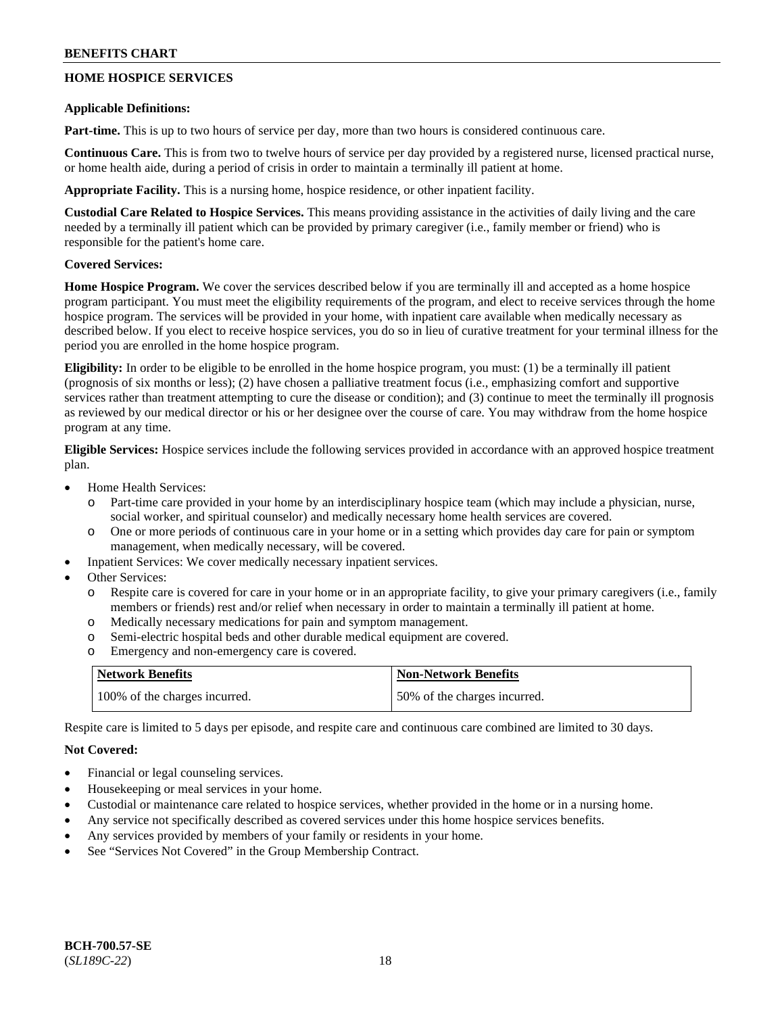# **HOME HOSPICE SERVICES**

### **Applicable Definitions:**

**Part-time.** This is up to two hours of service per day, more than two hours is considered continuous care.

**Continuous Care.** This is from two to twelve hours of service per day provided by a registered nurse, licensed practical nurse, or home health aide, during a period of crisis in order to maintain a terminally ill patient at home.

**Appropriate Facility.** This is a nursing home, hospice residence, or other inpatient facility.

**Custodial Care Related to Hospice Services.** This means providing assistance in the activities of daily living and the care needed by a terminally ill patient which can be provided by primary caregiver (i.e., family member or friend) who is responsible for the patient's home care.

### **Covered Services:**

**Home Hospice Program.** We cover the services described below if you are terminally ill and accepted as a home hospice program participant. You must meet the eligibility requirements of the program, and elect to receive services through the home hospice program. The services will be provided in your home, with inpatient care available when medically necessary as described below. If you elect to receive hospice services, you do so in lieu of curative treatment for your terminal illness for the period you are enrolled in the home hospice program.

**Eligibility:** In order to be eligible to be enrolled in the home hospice program, you must: (1) be a terminally ill patient (prognosis of six months or less); (2) have chosen a palliative treatment focus (i.e., emphasizing comfort and supportive services rather than treatment attempting to cure the disease or condition); and (3) continue to meet the terminally ill prognosis as reviewed by our medical director or his or her designee over the course of care. You may withdraw from the home hospice program at any time.

**Eligible Services:** Hospice services include the following services provided in accordance with an approved hospice treatment plan.

- Home Health Services:
	- o Part-time care provided in your home by an interdisciplinary hospice team (which may include a physician, nurse, social worker, and spiritual counselor) and medically necessary home health services are covered.
	- o One or more periods of continuous care in your home or in a setting which provides day care for pain or symptom management, when medically necessary, will be covered.
- Inpatient Services: We cover medically necessary inpatient services.
- Other Services:
	- o Respite care is covered for care in your home or in an appropriate facility, to give your primary caregivers (i.e., family members or friends) rest and/or relief when necessary in order to maintain a terminally ill patient at home.
	- o Medically necessary medications for pain and symptom management.
	- o Semi-electric hospital beds and other durable medical equipment are covered.
	- o Emergency and non-emergency care is covered.

| <b>Network Benefits</b>       | <b>Non-Network Benefits</b>  |
|-------------------------------|------------------------------|
| 100% of the charges incurred. | 50% of the charges incurred. |

Respite care is limited to 5 days per episode, and respite care and continuous care combined are limited to 30 days.

### **Not Covered:**

- Financial or legal counseling services.
- Housekeeping or meal services in your home.
- Custodial or maintenance care related to hospice services, whether provided in the home or in a nursing home.
- Any service not specifically described as covered services under this home hospice services benefits.
- Any services provided by members of your family or residents in your home.
- See "Services Not Covered" in the Group Membership Contract.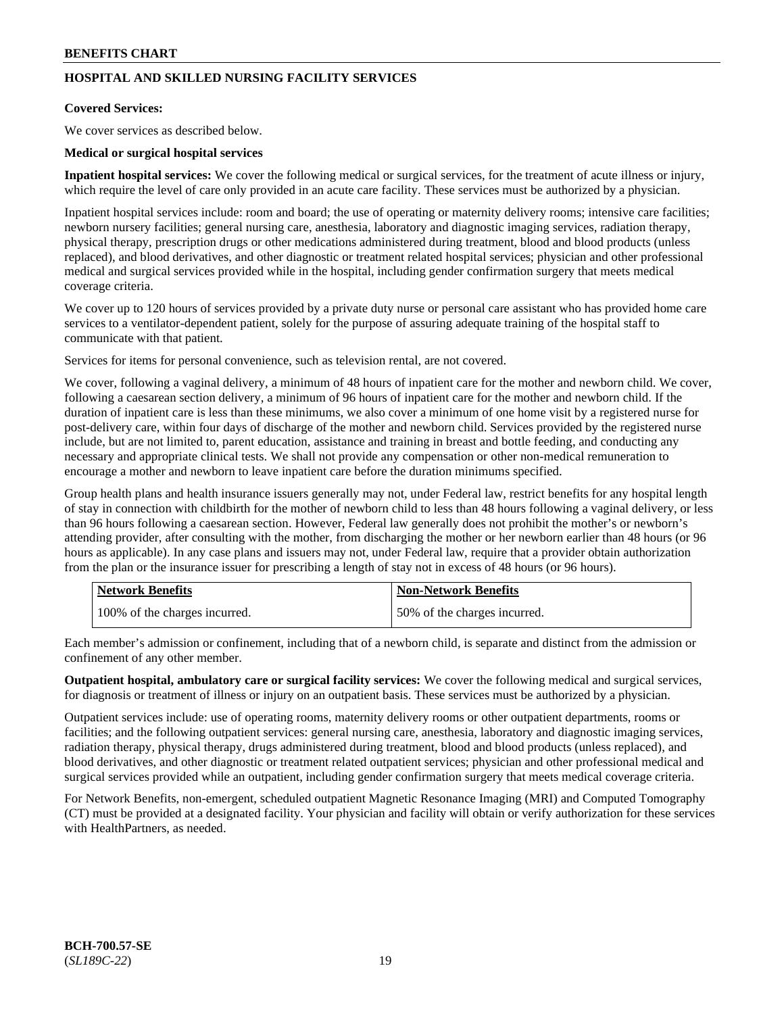# **HOSPITAL AND SKILLED NURSING FACILITY SERVICES**

### **Covered Services:**

We cover services as described below.

### **Medical or surgical hospital services**

**Inpatient hospital services:** We cover the following medical or surgical services, for the treatment of acute illness or injury, which require the level of care only provided in an acute care facility. These services must be authorized by a physician.

Inpatient hospital services include: room and board; the use of operating or maternity delivery rooms; intensive care facilities; newborn nursery facilities; general nursing care, anesthesia, laboratory and diagnostic imaging services, radiation therapy, physical therapy, prescription drugs or other medications administered during treatment, blood and blood products (unless replaced), and blood derivatives, and other diagnostic or treatment related hospital services; physician and other professional medical and surgical services provided while in the hospital, including gender confirmation surgery that meets medical coverage criteria.

We cover up to 120 hours of services provided by a private duty nurse or personal care assistant who has provided home care services to a ventilator-dependent patient, solely for the purpose of assuring adequate training of the hospital staff to communicate with that patient.

Services for items for personal convenience, such as television rental, are not covered.

We cover, following a vaginal delivery, a minimum of 48 hours of inpatient care for the mother and newborn child. We cover, following a caesarean section delivery, a minimum of 96 hours of inpatient care for the mother and newborn child. If the duration of inpatient care is less than these minimums, we also cover a minimum of one home visit by a registered nurse for post-delivery care, within four days of discharge of the mother and newborn child. Services provided by the registered nurse include, but are not limited to, parent education, assistance and training in breast and bottle feeding, and conducting any necessary and appropriate clinical tests. We shall not provide any compensation or other non-medical remuneration to encourage a mother and newborn to leave inpatient care before the duration minimums specified.

Group health plans and health insurance issuers generally may not, under Federal law, restrict benefits for any hospital length of stay in connection with childbirth for the mother of newborn child to less than 48 hours following a vaginal delivery, or less than 96 hours following a caesarean section. However, Federal law generally does not prohibit the mother's or newborn's attending provider, after consulting with the mother, from discharging the mother or her newborn earlier than 48 hours (or 96 hours as applicable). In any case plans and issuers may not, under Federal law, require that a provider obtain authorization from the plan or the insurance issuer for prescribing a length of stay not in excess of 48 hours (or 96 hours).

| <b>Network Benefits</b>       | <b>Non-Network Benefits</b>  |
|-------------------------------|------------------------------|
| 100% of the charges incurred. | 50% of the charges incurred. |

Each member's admission or confinement, including that of a newborn child, is separate and distinct from the admission or confinement of any other member.

**Outpatient hospital, ambulatory care or surgical facility services:** We cover the following medical and surgical services, for diagnosis or treatment of illness or injury on an outpatient basis. These services must be authorized by a physician.

Outpatient services include: use of operating rooms, maternity delivery rooms or other outpatient departments, rooms or facilities; and the following outpatient services: general nursing care, anesthesia, laboratory and diagnostic imaging services, radiation therapy, physical therapy, drugs administered during treatment, blood and blood products (unless replaced), and blood derivatives, and other diagnostic or treatment related outpatient services; physician and other professional medical and surgical services provided while an outpatient, including gender confirmation surgery that meets medical coverage criteria.

For Network Benefits, non-emergent, scheduled outpatient Magnetic Resonance Imaging (MRI) and Computed Tomography (CT) must be provided at a designated facility. Your physician and facility will obtain or verify authorization for these services with HealthPartners, as needed.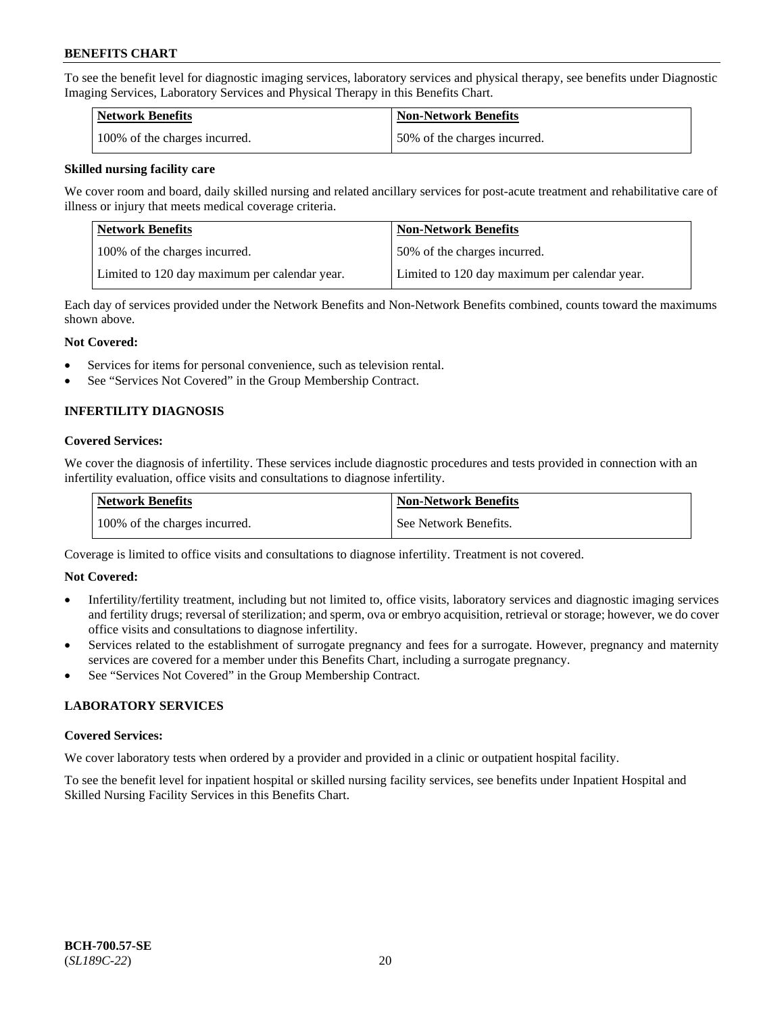To see the benefit level for diagnostic imaging services, laboratory services and physical therapy, see benefits under Diagnostic Imaging Services, Laboratory Services and Physical Therapy in this Benefits Chart.

| <b>Network Benefits</b>       | Non-Network Benefits         |
|-------------------------------|------------------------------|
| 100% of the charges incurred. | 50% of the charges incurred. |

### **Skilled nursing facility care**

We cover room and board, daily skilled nursing and related ancillary services for post-acute treatment and rehabilitative care of illness or injury that meets medical coverage criteria.

| Network Benefits                              | <b>Non-Network Benefits</b>                   |
|-----------------------------------------------|-----------------------------------------------|
| 100% of the charges incurred.                 | 150% of the charges incurred.                 |
| Limited to 120 day maximum per calendar year. | Limited to 120 day maximum per calendar year. |

Each day of services provided under the Network Benefits and Non-Network Benefits combined, counts toward the maximums shown above.

### **Not Covered:**

- Services for items for personal convenience, such as television rental.
- See "Services Not Covered" in the Group Membership Contract.

# **INFERTILITY DIAGNOSIS**

### **Covered Services:**

We cover the diagnosis of infertility. These services include diagnostic procedures and tests provided in connection with an infertility evaluation, office visits and consultations to diagnose infertility.

| <b>Network Benefits</b>       | <b>Non-Network Benefits</b> |
|-------------------------------|-----------------------------|
| 100% of the charges incurred. | See Network Benefits.       |

Coverage is limited to office visits and consultations to diagnose infertility. Treatment is not covered.

### **Not Covered:**

- Infertility/fertility treatment, including but not limited to, office visits, laboratory services and diagnostic imaging services and fertility drugs; reversal of sterilization; and sperm, ova or embryo acquisition, retrieval or storage; however, we do cover office visits and consultations to diagnose infertility.
- Services related to the establishment of surrogate pregnancy and fees for a surrogate. However, pregnancy and maternity services are covered for a member under this Benefits Chart, including a surrogate pregnancy.
- See "Services Not Covered" in the Group Membership Contract.

### **LABORATORY SERVICES**

#### **Covered Services:**

We cover laboratory tests when ordered by a provider and provided in a clinic or outpatient hospital facility.

To see the benefit level for inpatient hospital or skilled nursing facility services, see benefits under Inpatient Hospital and Skilled Nursing Facility Services in this Benefits Chart.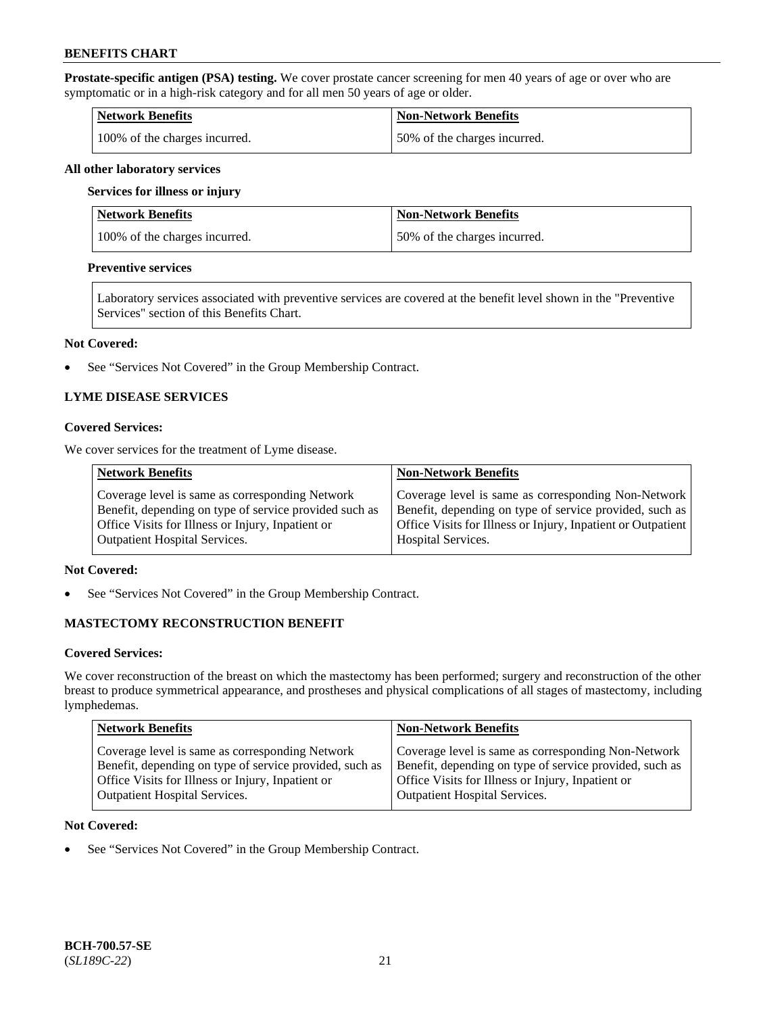**Prostate-specific antigen (PSA) testing.** We cover prostate cancer screening for men 40 years of age or over who are symptomatic or in a high-risk category and for all men 50 years of age or older.

| <b>Network Benefits</b>       | <b>Non-Network Benefits</b>   |
|-------------------------------|-------------------------------|
| 100% of the charges incurred. | 150% of the charges incurred. |

#### **All other laboratory services**

#### **Services for illness or injury**

| Network Benefits              | <b>Non-Network Benefits</b>  |
|-------------------------------|------------------------------|
| 100% of the charges incurred. | 50% of the charges incurred. |

### **Preventive services**

Laboratory services associated with preventive services are covered at the benefit level shown in the "Preventive Services" section of this Benefits Chart.

#### **Not Covered:**

See "Services Not Covered" in the Group Membership Contract.

### **LYME DISEASE SERVICES**

### **Covered Services:**

We cover services for the treatment of Lyme disease.

| <b>Network Benefits</b>                                | <b>Non-Network Benefits</b>                                  |
|--------------------------------------------------------|--------------------------------------------------------------|
| Coverage level is same as corresponding Network        | Coverage level is same as corresponding Non-Network          |
| Benefit, depending on type of service provided such as | Benefit, depending on type of service provided, such as      |
| Office Visits for Illness or Injury, Inpatient or      | Office Visits for Illness or Injury, Inpatient or Outpatient |
| <b>Outpatient Hospital Services.</b>                   | <b>Hospital Services.</b>                                    |

### **Not Covered:**

• See "Services Not Covered" in the Group Membership Contract.

### **MASTECTOMY RECONSTRUCTION BENEFIT**

#### **Covered Services:**

We cover reconstruction of the breast on which the mastectomy has been performed; surgery and reconstruction of the other breast to produce symmetrical appearance, and prostheses and physical complications of all stages of mastectomy, including lymphedemas.

| <b>Network Benefits</b>                                 | <b>Non-Network Benefits</b>                             |
|---------------------------------------------------------|---------------------------------------------------------|
| Coverage level is same as corresponding Network         | Coverage level is same as corresponding Non-Network     |
| Benefit, depending on type of service provided, such as | Benefit, depending on type of service provided, such as |
| Office Visits for Illness or Injury, Inpatient or       | Office Visits for Illness or Injury, Inpatient or       |
| <b>Outpatient Hospital Services.</b>                    | Outpatient Hospital Services.                           |

#### **Not Covered:**

• See "Services Not Covered" in the Group Membership Contract.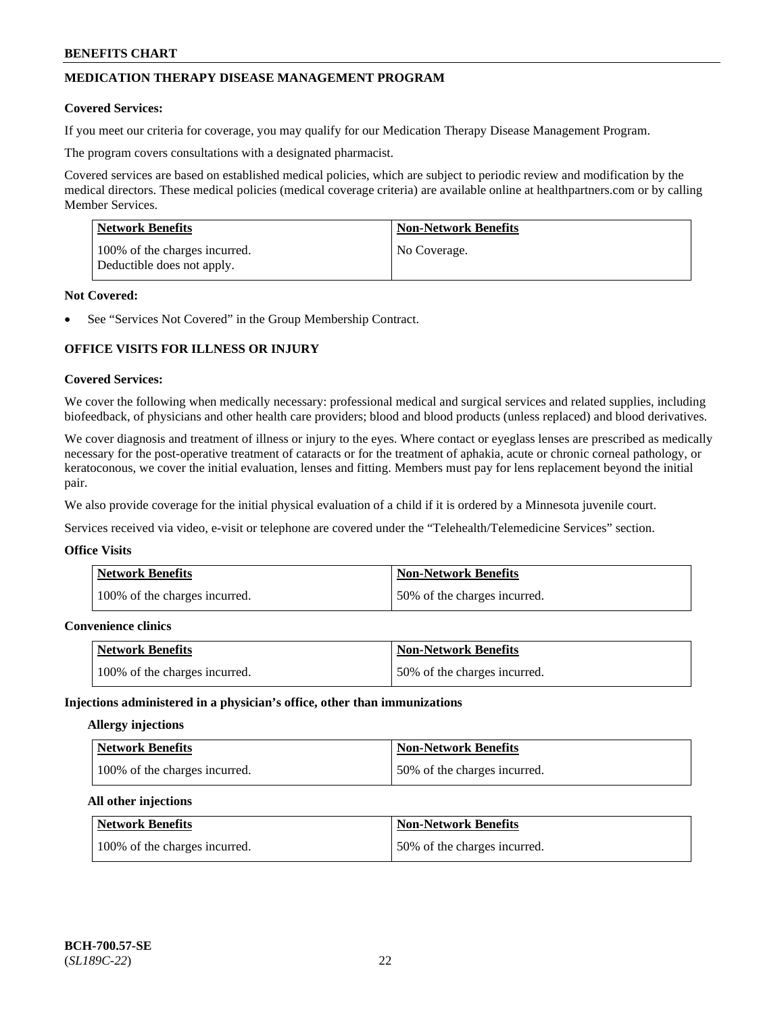# **MEDICATION THERAPY DISEASE MANAGEMENT PROGRAM**

### **Covered Services:**

If you meet our criteria for coverage, you may qualify for our Medication Therapy Disease Management Program.

The program covers consultations with a designated pharmacist.

Covered services are based on established medical policies, which are subject to periodic review and modification by the medical directors. These medical policies (medical coverage criteria) are available online at [healthpartners.com](https://www.healthpartners.com/hp/index.html) or by calling Member Services.

| Network Benefits                                            | <b>Non-Network Benefits</b> |
|-------------------------------------------------------------|-----------------------------|
| 100% of the charges incurred.<br>Deductible does not apply. | No Coverage.                |

### **Not Covered:**

See "Services Not Covered" in the Group Membership Contract.

# **OFFICE VISITS FOR ILLNESS OR INJURY**

### **Covered Services:**

We cover the following when medically necessary: professional medical and surgical services and related supplies, including biofeedback, of physicians and other health care providers; blood and blood products (unless replaced) and blood derivatives.

We cover diagnosis and treatment of illness or injury to the eyes. Where contact or eyeglass lenses are prescribed as medically necessary for the post-operative treatment of cataracts or for the treatment of aphakia, acute or chronic corneal pathology, or keratoconous, we cover the initial evaluation, lenses and fitting. Members must pay for lens replacement beyond the initial pair.

We also provide coverage for the initial physical evaluation of a child if it is ordered by a Minnesota juvenile court.

Services received via video, e-visit or telephone are covered under the "Telehealth/Telemedicine Services" section.

#### **Office Visits**

| Network Benefits              | <b>Non-Network Benefits</b>  |
|-------------------------------|------------------------------|
| 100% of the charges incurred. | 50% of the charges incurred. |

### **Convenience clinics**

| <b>Network Benefits</b>       | <b>Non-Network Benefits</b>  |
|-------------------------------|------------------------------|
| 100% of the charges incurred. | 50% of the charges incurred. |

#### **Injections administered in a physician's office, other than immunizations**

### **Allergy injections**

| Network Benefits              | <b>Non-Network Benefits</b>  |
|-------------------------------|------------------------------|
| 100% of the charges incurred. | 50% of the charges incurred. |

#### **All other injections**

| Network Benefits              | <b>Non-Network Benefits</b>  |
|-------------------------------|------------------------------|
| 100% of the charges incurred. | 50% of the charges incurred. |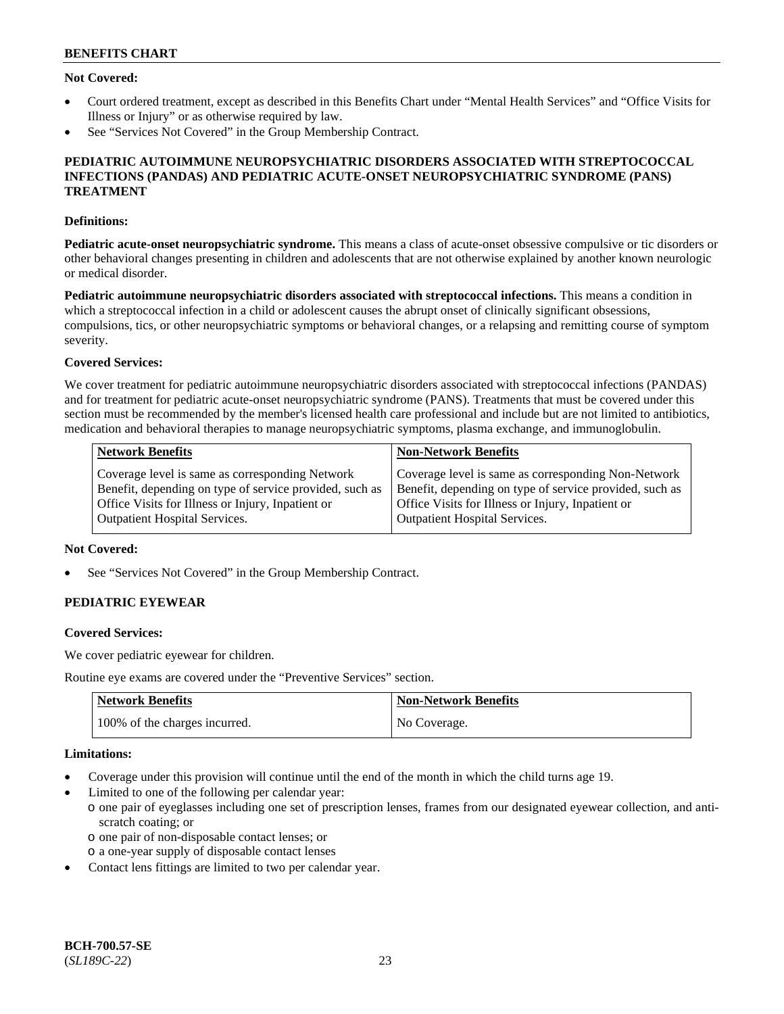### **Not Covered:**

- Court ordered treatment, except as described in this Benefits Chart under "Mental Health Services" and "Office Visits for Illness or Injury" or as otherwise required by law.
- See "Services Not Covered" in the Group Membership Contract.

### **PEDIATRIC AUTOIMMUNE NEUROPSYCHIATRIC DISORDERS ASSOCIATED WITH STREPTOCOCCAL INFECTIONS (PANDAS) AND PEDIATRIC ACUTE-ONSET NEUROPSYCHIATRIC SYNDROME (PANS) TREATMENT**

### **Definitions:**

**Pediatric acute-onset neuropsychiatric syndrome.** This means a class of acute-onset obsessive compulsive or tic disorders or other behavioral changes presenting in children and adolescents that are not otherwise explained by another known neurologic or medical disorder.

**Pediatric autoimmune neuropsychiatric disorders associated with streptococcal infections.** This means a condition in which a streptococcal infection in a child or adolescent causes the abrupt onset of clinically significant obsessions, compulsions, tics, or other neuropsychiatric symptoms or behavioral changes, or a relapsing and remitting course of symptom severity.

### **Covered Services:**

We cover treatment for pediatric autoimmune neuropsychiatric disorders associated with streptococcal infections (PANDAS) and for treatment for pediatric acute-onset neuropsychiatric syndrome (PANS). Treatments that must be covered under this section must be recommended by the member's licensed health care professional and include but are not limited to antibiotics, medication and behavioral therapies to manage neuropsychiatric symptoms, plasma exchange, and immunoglobulin.

| <b>Network Benefits</b>                                 | <b>Non-Network Benefits</b>                             |
|---------------------------------------------------------|---------------------------------------------------------|
| Coverage level is same as corresponding Network         | Coverage level is same as corresponding Non-Network     |
| Benefit, depending on type of service provided, such as | Benefit, depending on type of service provided, such as |
| Office Visits for Illness or Injury, Inpatient or       | Office Visits for Illness or Injury, Inpatient or       |
| <b>Outpatient Hospital Services.</b>                    | <b>Outpatient Hospital Services.</b>                    |

### **Not Covered:**

See "Services Not Covered" in the Group Membership Contract.

# **PEDIATRIC EYEWEAR**

#### **Covered Services:**

We cover pediatric eyewear for children.

Routine eye exams are covered under the "Preventive Services" section.

| <b>Network Benefits</b>       | Non-Network Benefits |
|-------------------------------|----------------------|
| 100% of the charges incurred. | No Coverage.         |

#### **Limitations:**

- Coverage under this provision will continue until the end of the month in which the child turns age 19.
- Limited to one of the following per calendar year:
	- o one pair of eyeglasses including one set of prescription lenses, frames from our designated eyewear collection, and antiscratch coating; or
		- o one pair of non-disposable contact lenses; or
	- o a one-year supply of disposable contact lenses
- Contact lens fittings are limited to two per calendar year.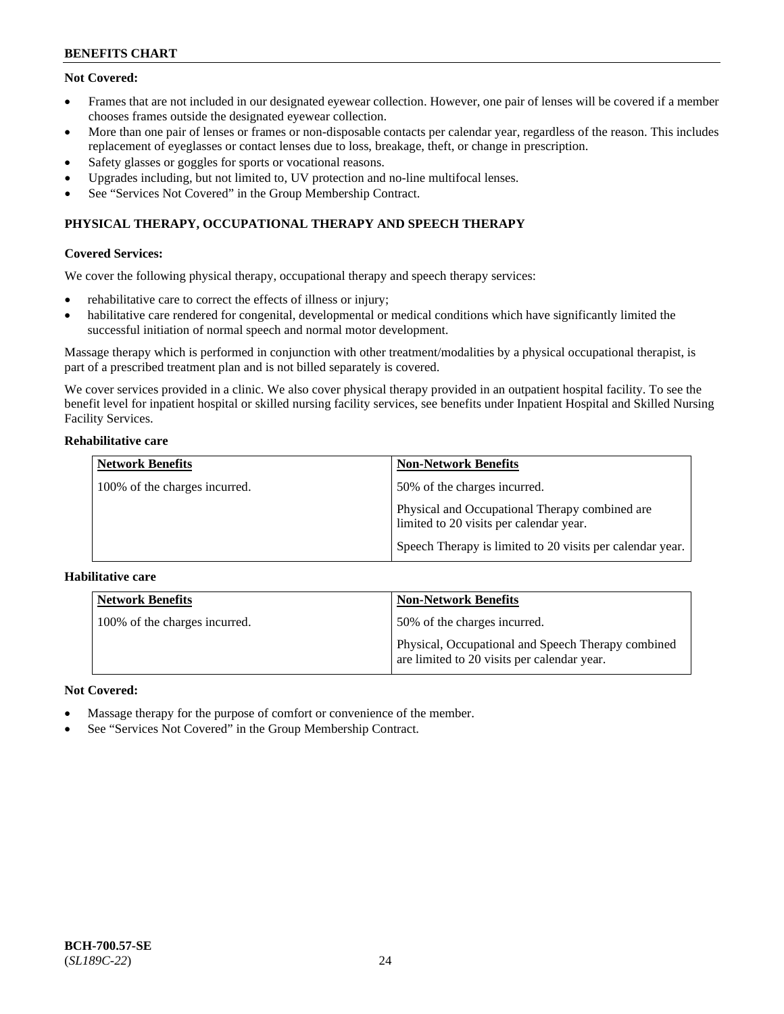# **Not Covered:**

- Frames that are not included in our designated eyewear collection. However, one pair of lenses will be covered if a member chooses frames outside the designated eyewear collection.
- More than one pair of lenses or frames or non-disposable contacts per calendar year, regardless of the reason. This includes replacement of eyeglasses or contact lenses due to loss, breakage, theft, or change in prescription.
- Safety glasses or goggles for sports or vocational reasons.
- Upgrades including, but not limited to, UV protection and no-line multifocal lenses.
- See "Services Not Covered" in the Group Membership Contract.

# **PHYSICAL THERAPY, OCCUPATIONAL THERAPY AND SPEECH THERAPY**

### **Covered Services:**

We cover the following physical therapy, occupational therapy and speech therapy services:

- rehabilitative care to correct the effects of illness or injury;
- habilitative care rendered for congenital, developmental or medical conditions which have significantly limited the successful initiation of normal speech and normal motor development.

Massage therapy which is performed in conjunction with other treatment/modalities by a physical occupational therapist, is part of a prescribed treatment plan and is not billed separately is covered.

We cover services provided in a clinic. We also cover physical therapy provided in an outpatient hospital facility. To see the benefit level for inpatient hospital or skilled nursing facility services, see benefits under Inpatient Hospital and Skilled Nursing Facility Services.

### **Rehabilitative care**

| <b>Network Benefits</b>       | <b>Non-Network Benefits</b>                                                               |
|-------------------------------|-------------------------------------------------------------------------------------------|
| 100% of the charges incurred. | 50% of the charges incurred.                                                              |
|                               | Physical and Occupational Therapy combined are<br>limited to 20 visits per calendar year. |
|                               | Speech Therapy is limited to 20 visits per calendar year.                                 |

### **Habilitative care**

| <b>Network Benefits</b>       | <b>Non-Network Benefits</b>                                                                       |
|-------------------------------|---------------------------------------------------------------------------------------------------|
| 100% of the charges incurred. | 50% of the charges incurred.                                                                      |
|                               | Physical, Occupational and Speech Therapy combined<br>are limited to 20 visits per calendar year. |

### **Not Covered:**

- Massage therapy for the purpose of comfort or convenience of the member.
- See "Services Not Covered" in the Group Membership Contract.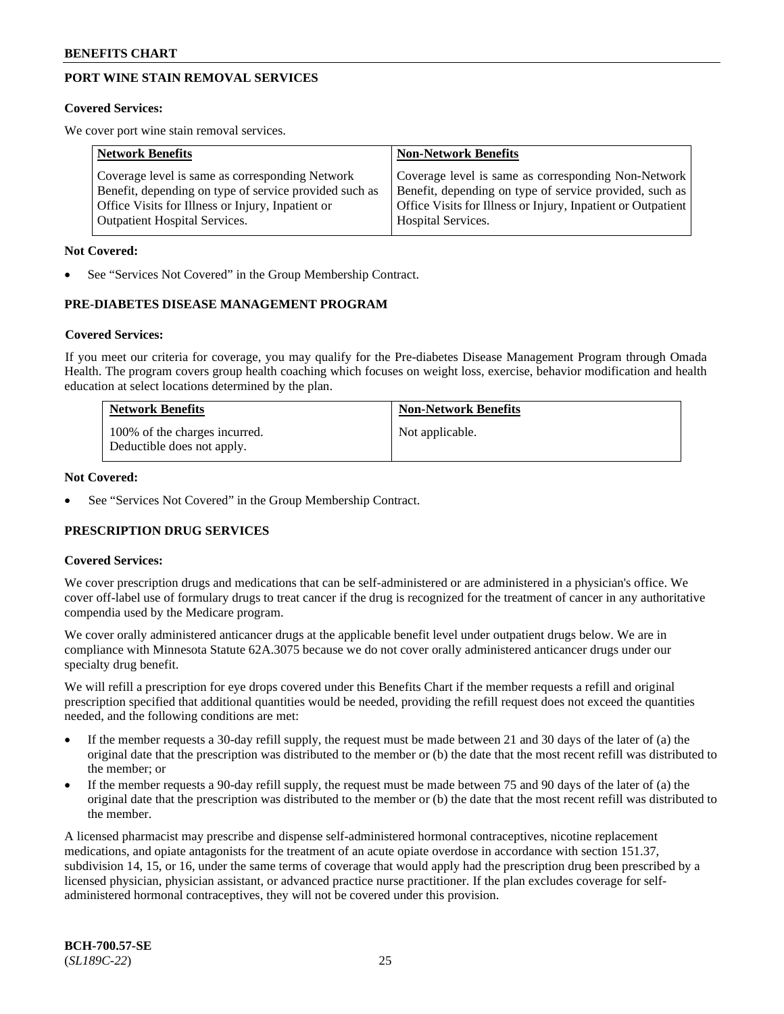# **PORT WINE STAIN REMOVAL SERVICES**

#### **Covered Services:**

We cover port wine stain removal services.

| <b>Network Benefits</b>                                | <b>Non-Network Benefits</b>                                  |
|--------------------------------------------------------|--------------------------------------------------------------|
| Coverage level is same as corresponding Network        | Coverage level is same as corresponding Non-Network          |
| Benefit, depending on type of service provided such as | Benefit, depending on type of service provided, such as      |
| Office Visits for Illness or Injury, Inpatient or      | Office Visits for Illness or Injury, Inpatient or Outpatient |
| <b>Outpatient Hospital Services.</b>                   | Hospital Services.                                           |

#### **Not Covered:**

See "Services Not Covered" in the Group Membership Contract.

### **PRE-DIABETES DISEASE MANAGEMENT PROGRAM**

#### **Covered Services:**

If you meet our criteria for coverage, you may qualify for the Pre-diabetes Disease Management Program through Omada Health. The program covers group health coaching which focuses on weight loss, exercise, behavior modification and health education at select locations determined by the plan.

| <b>Network Benefits</b>                                     | <b>Non-Network Benefits</b> |
|-------------------------------------------------------------|-----------------------------|
| 100% of the charges incurred.<br>Deductible does not apply. | Not applicable.             |

### **Not Covered:**

See "Services Not Covered" in the Group Membership Contract.

### **PRESCRIPTION DRUG SERVICES**

### **Covered Services:**

We cover prescription drugs and medications that can be self-administered or are administered in a physician's office. We cover off-label use of formulary drugs to treat cancer if the drug is recognized for the treatment of cancer in any authoritative compendia used by the Medicare program.

We cover orally administered anticancer drugs at the applicable benefit level under outpatient drugs below. We are in compliance with Minnesota Statute 62A.3075 because we do not cover orally administered anticancer drugs under our specialty drug benefit.

We will refill a prescription for eye drops covered under this Benefits Chart if the member requests a refill and original prescription specified that additional quantities would be needed, providing the refill request does not exceed the quantities needed, and the following conditions are met:

- If the member requests a 30-day refill supply, the request must be made between 21 and 30 days of the later of (a) the original date that the prescription was distributed to the member or (b) the date that the most recent refill was distributed to the member; or
- If the member requests a 90-day refill supply, the request must be made between 75 and 90 days of the later of (a) the original date that the prescription was distributed to the member or (b) the date that the most recent refill was distributed to the member.

A licensed pharmacist may prescribe and dispense self-administered hormonal contraceptives, nicotine replacement medications, and opiate antagonists for the treatment of an acute opiate overdose in accordance with section 151.37, subdivision 14, 15, or 16, under the same terms of coverage that would apply had the prescription drug been prescribed by a licensed physician, physician assistant, or advanced practice nurse practitioner. If the plan excludes coverage for selfadministered hormonal contraceptives, they will not be covered under this provision.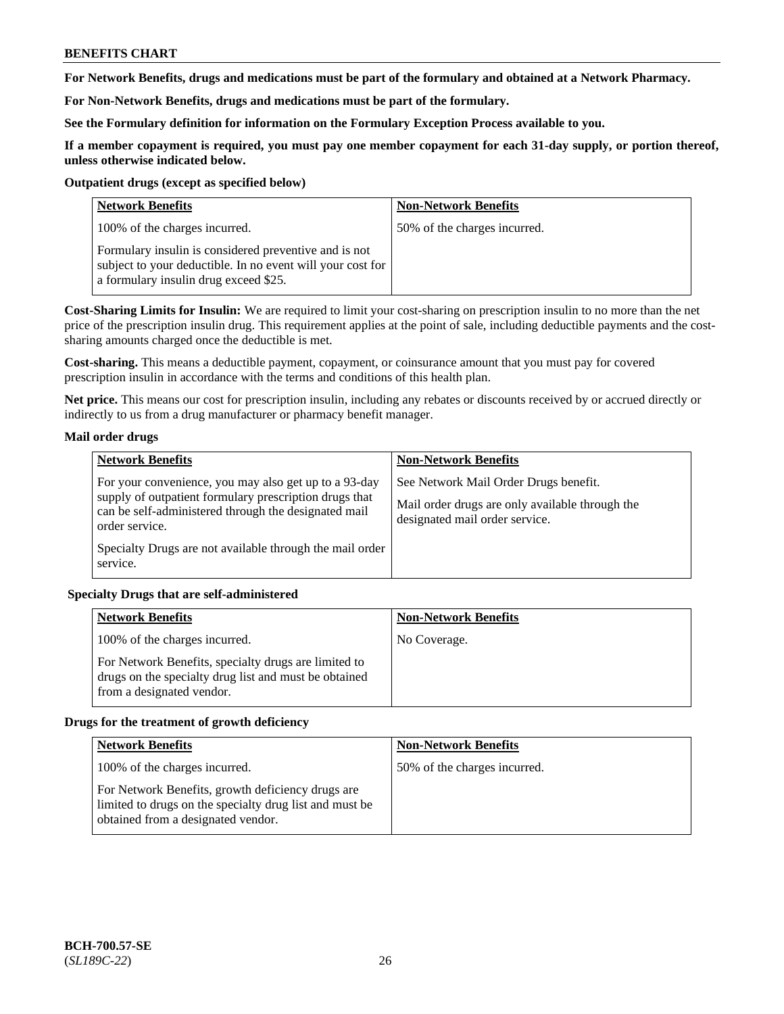**For Network Benefits, drugs and medications must be part of the formulary and obtained at a Network Pharmacy.**

**For Non-Network Benefits, drugs and medications must be part of the formulary.** 

**See the Formulary definition for information on the Formulary Exception Process available to you.**

**If a member copayment is required, you must pay one member copayment for each 31-day supply, or portion thereof, unless otherwise indicated below.**

### **Outpatient drugs (except as specified below)**

| <b>Network Benefits</b>                                                                                                                                      | <b>Non-Network Benefits</b>  |
|--------------------------------------------------------------------------------------------------------------------------------------------------------------|------------------------------|
| 100% of the charges incurred.                                                                                                                                | 50% of the charges incurred. |
| Formulary insulin is considered preventive and is not<br>subject to your deductible. In no event will your cost for<br>a formulary insulin drug exceed \$25. |                              |

**Cost-Sharing Limits for Insulin:** We are required to limit your cost-sharing on prescription insulin to no more than the net price of the prescription insulin drug. This requirement applies at the point of sale, including deductible payments and the costsharing amounts charged once the deductible is met.

**Cost-sharing.** This means a deductible payment, copayment, or coinsurance amount that you must pay for covered prescription insulin in accordance with the terms and conditions of this health plan.

**Net price.** This means our cost for prescription insulin, including any rebates or discounts received by or accrued directly or indirectly to us from a drug manufacturer or pharmacy benefit manager.

### **Mail order drugs**

| <b>Network Benefits</b>                                                                                                                                                                   | <b>Non-Network Benefits</b>                                                                                                |
|-------------------------------------------------------------------------------------------------------------------------------------------------------------------------------------------|----------------------------------------------------------------------------------------------------------------------------|
| For your convenience, you may also get up to a 93-day<br>supply of outpatient formulary prescription drugs that<br>can be self-administered through the designated mail<br>order service. | See Network Mail Order Drugs benefit.<br>Mail order drugs are only available through the<br>designated mail order service. |
| Specialty Drugs are not available through the mail order<br>service.                                                                                                                      |                                                                                                                            |

### **Specialty Drugs that are self-administered**

| <b>Network Benefits</b>                                                                                                                    | <b>Non-Network Benefits</b> |
|--------------------------------------------------------------------------------------------------------------------------------------------|-----------------------------|
| 100% of the charges incurred.                                                                                                              | No Coverage.                |
| For Network Benefits, specialty drugs are limited to<br>drugs on the specialty drug list and must be obtained<br>from a designated vendor. |                             |

### **Drugs for the treatment of growth deficiency**

| <b>Network Benefits</b>                                                                                                                            | <b>Non-Network Benefits</b>  |
|----------------------------------------------------------------------------------------------------------------------------------------------------|------------------------------|
| 100% of the charges incurred.                                                                                                                      | 50% of the charges incurred. |
| For Network Benefits, growth deficiency drugs are<br>limited to drugs on the specialty drug list and must be<br>obtained from a designated vendor. |                              |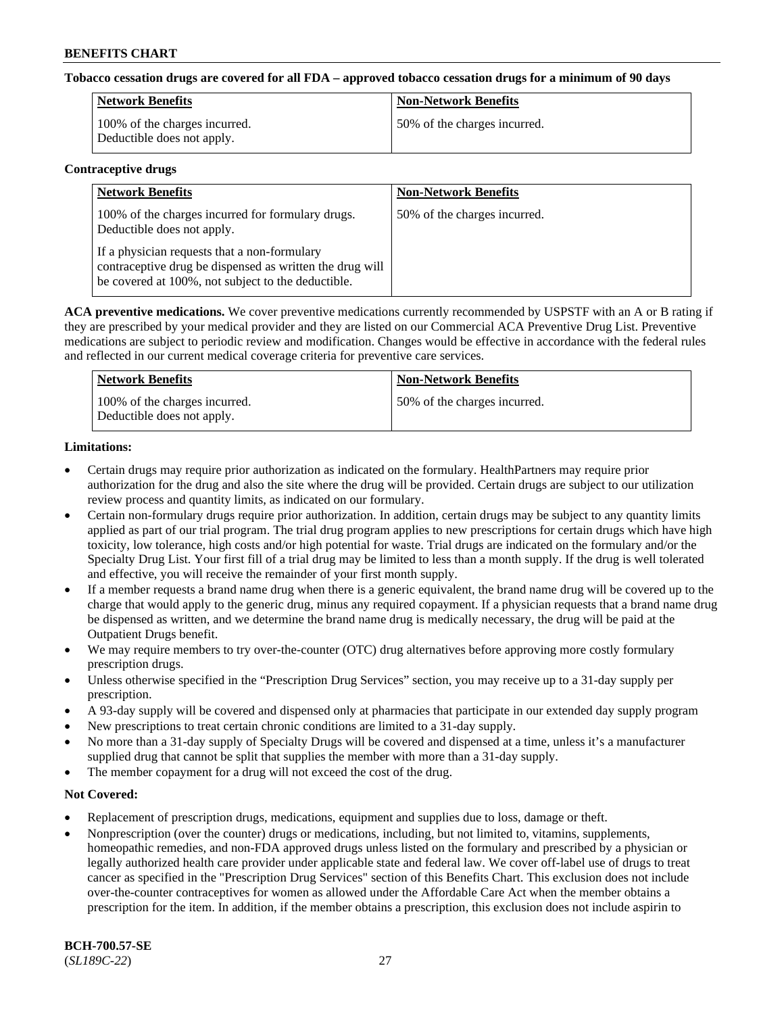### **Tobacco cessation drugs are covered for all FDA – approved tobacco cessation drugs for a minimum of 90 days**

| Network Benefits                                            | <b>Non-Network Benefits</b>  |
|-------------------------------------------------------------|------------------------------|
| 100% of the charges incurred.<br>Deductible does not apply. | 50% of the charges incurred. |

#### **Contraceptive drugs**

| <b>Network Benefits</b>                                                                                                                                        | <b>Non-Network Benefits</b>  |
|----------------------------------------------------------------------------------------------------------------------------------------------------------------|------------------------------|
| 100% of the charges incurred for formulary drugs.<br>Deductible does not apply.                                                                                | 50% of the charges incurred. |
| If a physician requests that a non-formulary<br>contraceptive drug be dispensed as written the drug will<br>be covered at 100%, not subject to the deductible. |                              |

**ACA preventive medications.** We cover preventive medications currently recommended by USPSTF with an A or B rating if they are prescribed by your medical provider and they are listed on our Commercial ACA Preventive Drug List. Preventive medications are subject to periodic review and modification. Changes would be effective in accordance with the federal rules and reflected in our current medical coverage criteria for preventive care services.

| <b>Network Benefits</b>                                     | <b>Non-Network Benefits</b>  |
|-------------------------------------------------------------|------------------------------|
| 100% of the charges incurred.<br>Deductible does not apply. | 50% of the charges incurred. |

### **Limitations:**

- Certain drugs may require prior authorization as indicated on the formulary. HealthPartners may require prior authorization for the drug and also the site where the drug will be provided. Certain drugs are subject to our utilization review process and quantity limits, as indicated on our formulary.
- Certain non-formulary drugs require prior authorization. In addition, certain drugs may be subject to any quantity limits applied as part of our trial program. The trial drug program applies to new prescriptions for certain drugs which have high toxicity, low tolerance, high costs and/or high potential for waste. Trial drugs are indicated on the formulary and/or the Specialty Drug List. Your first fill of a trial drug may be limited to less than a month supply. If the drug is well tolerated and effective, you will receive the remainder of your first month supply.
- If a member requests a brand name drug when there is a generic equivalent, the brand name drug will be covered up to the charge that would apply to the generic drug, minus any required copayment. If a physician requests that a brand name drug be dispensed as written, and we determine the brand name drug is medically necessary, the drug will be paid at the Outpatient Drugs benefit.
- We may require members to try over-the-counter (OTC) drug alternatives before approving more costly formulary prescription drugs.
- Unless otherwise specified in the "Prescription Drug Services" section, you may receive up to a 31-day supply per prescription.
- A 93-day supply will be covered and dispensed only at pharmacies that participate in our extended day supply program
- New prescriptions to treat certain chronic conditions are limited to a 31-day supply.
- No more than a 31-day supply of Specialty Drugs will be covered and dispensed at a time, unless it's a manufacturer supplied drug that cannot be split that supplies the member with more than a 31-day supply.
- The member copayment for a drug will not exceed the cost of the drug.

### **Not Covered:**

- Replacement of prescription drugs, medications, equipment and supplies due to loss, damage or theft.
- Nonprescription (over the counter) drugs or medications, including, but not limited to, vitamins, supplements, homeopathic remedies, and non-FDA approved drugs unless listed on the formulary and prescribed by a physician or legally authorized health care provider under applicable state and federal law. We cover off-label use of drugs to treat cancer as specified in the "Prescription Drug Services" section of this Benefits Chart. This exclusion does not include over-the-counter contraceptives for women as allowed under the Affordable Care Act when the member obtains a prescription for the item. In addition, if the member obtains a prescription, this exclusion does not include aspirin to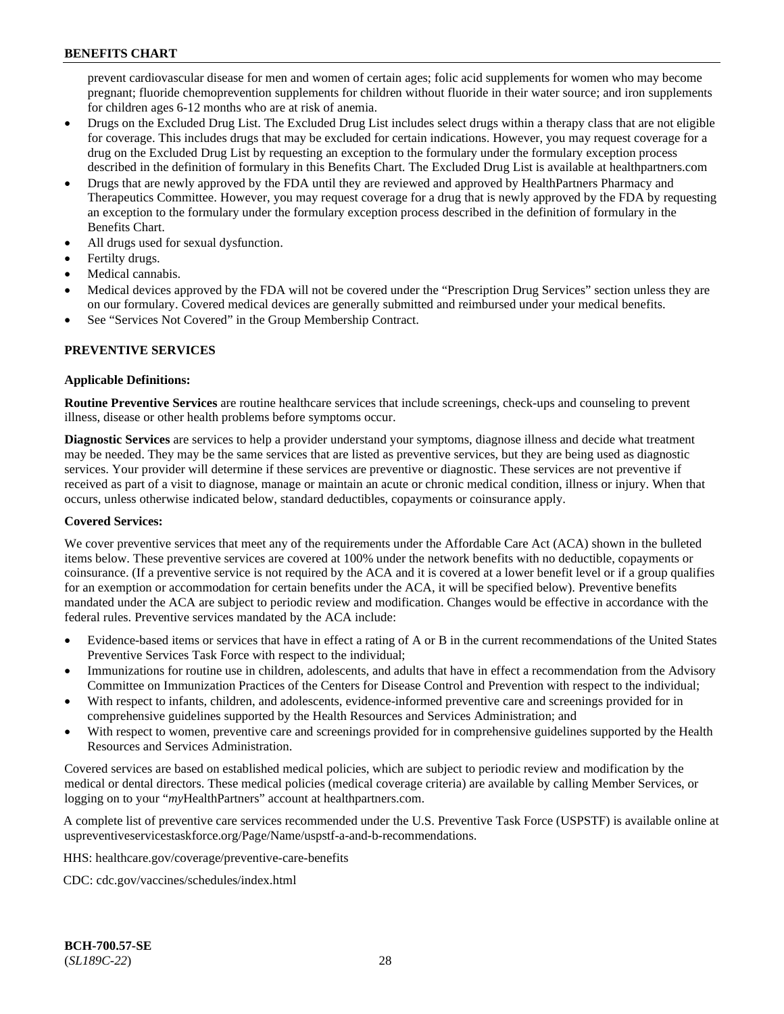prevent cardiovascular disease for men and women of certain ages; folic acid supplements for women who may become pregnant; fluoride chemoprevention supplements for children without fluoride in their water source; and iron supplements for children ages 6-12 months who are at risk of anemia.

- Drugs on the Excluded Drug List. The Excluded Drug List includes select drugs within a therapy class that are not eligible for coverage. This includes drugs that may be excluded for certain indications. However, you may request coverage for a drug on the Excluded Drug List by requesting an exception to the formulary under the formulary exception process described in the definition of formulary in this Benefits Chart. The Excluded Drug List is available at [healthpartners.com](http://www.healthpartners.com/)
- Drugs that are newly approved by the FDA until they are reviewed and approved by HealthPartners Pharmacy and Therapeutics Committee. However, you may request coverage for a drug that is newly approved by the FDA by requesting an exception to the formulary under the formulary exception process described in the definition of formulary in the Benefits Chart.
- All drugs used for sexual dysfunction.
- Fertilty drugs.
- Medical cannabis.
- Medical devices approved by the FDA will not be covered under the "Prescription Drug Services" section unless they are on our formulary. Covered medical devices are generally submitted and reimbursed under your medical benefits.
- See "Services Not Covered" in the Group Membership Contract.

### **PREVENTIVE SERVICES**

### **Applicable Definitions:**

**Routine Preventive Services** are routine healthcare services that include screenings, check-ups and counseling to prevent illness, disease or other health problems before symptoms occur.

**Diagnostic Services** are services to help a provider understand your symptoms, diagnose illness and decide what treatment may be needed. They may be the same services that are listed as preventive services, but they are being used as diagnostic services. Your provider will determine if these services are preventive or diagnostic. These services are not preventive if received as part of a visit to diagnose, manage or maintain an acute or chronic medical condition, illness or injury. When that occurs, unless otherwise indicated below, standard deductibles, copayments or coinsurance apply.

### **Covered Services:**

We cover preventive services that meet any of the requirements under the Affordable Care Act (ACA) shown in the bulleted items below. These preventive services are covered at 100% under the network benefits with no deductible, copayments or coinsurance. (If a preventive service is not required by the ACA and it is covered at a lower benefit level or if a group qualifies for an exemption or accommodation for certain benefits under the ACA, it will be specified below). Preventive benefits mandated under the ACA are subject to periodic review and modification. Changes would be effective in accordance with the federal rules. Preventive services mandated by the ACA include:

- Evidence-based items or services that have in effect a rating of A or B in the current recommendations of the United States Preventive Services Task Force with respect to the individual;
- Immunizations for routine use in children, adolescents, and adults that have in effect a recommendation from the Advisory Committee on Immunization Practices of the Centers for Disease Control and Prevention with respect to the individual;
- With respect to infants, children, and adolescents, evidence-informed preventive care and screenings provided for in comprehensive guidelines supported by the Health Resources and Services Administration; and
- With respect to women, preventive care and screenings provided for in comprehensive guidelines supported by the Health Resources and Services Administration.

Covered services are based on established medical policies, which are subject to periodic review and modification by the medical or dental directors. These medical policies (medical coverage criteria) are available by calling Member Services, or logging on to your "*my*HealthPartners" account at [healthpartners.com.](http://www.healthpartners.com/)

A complete list of preventive care services recommended under the U.S. Preventive Task Force (USPSTF) is available online at [uspreventiveservicestaskforce.org/Page/Name/uspstf-a-and-b-recommendations.](https://www.uspreventiveservicestaskforce.org/Page/Name/uspstf-a-and-b-recommendations-by-date/)

HHS: [healthcare.gov/coverage/preventive-care-benefits](https://www.healthcare.gov/coverage/preventive-care-benefits/)

CDC: [cdc.gov/vaccines/schedules/index.html](https://www.cdc.gov/vaccines/schedules/index.html)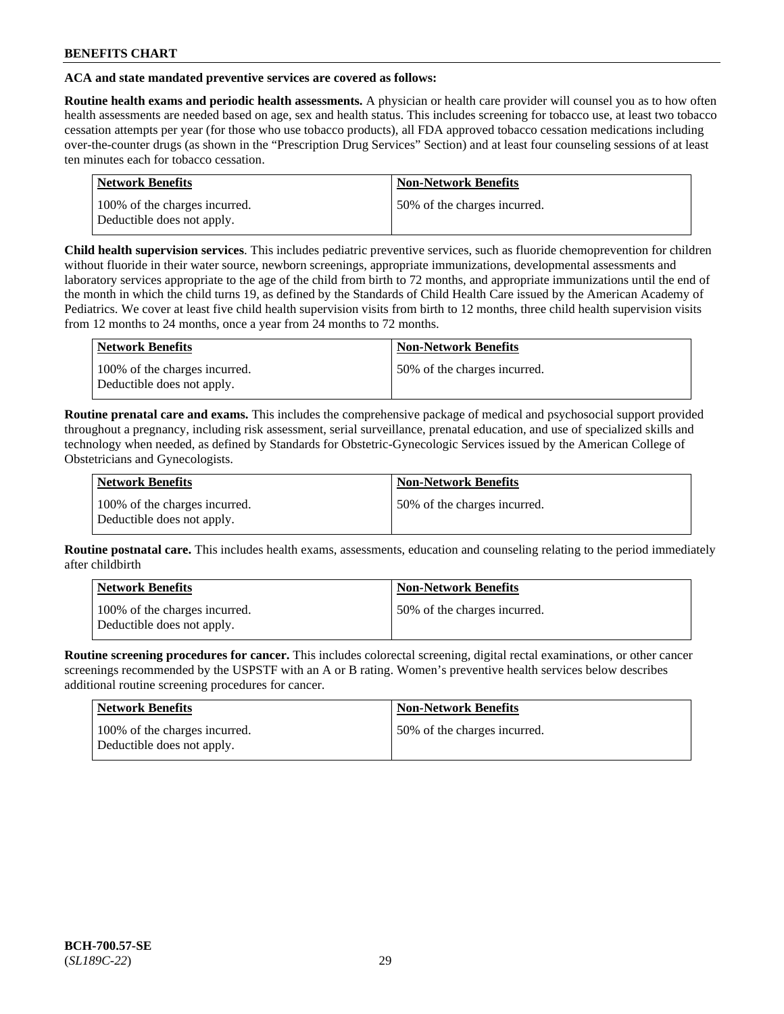### **ACA and state mandated preventive services are covered as follows:**

**Routine health exams and periodic health assessments.** A physician or health care provider will counsel you as to how often health assessments are needed based on age, sex and health status. This includes screening for tobacco use, at least two tobacco cessation attempts per year (for those who use tobacco products), all FDA approved tobacco cessation medications including over-the-counter drugs (as shown in the "Prescription Drug Services" Section) and at least four counseling sessions of at least ten minutes each for tobacco cessation.

| <b>Network Benefits</b>                                     | <b>Non-Network Benefits</b>  |
|-------------------------------------------------------------|------------------------------|
| 100% of the charges incurred.<br>Deductible does not apply. | 50% of the charges incurred. |

**Child health supervision services**. This includes pediatric preventive services, such as fluoride chemoprevention for children without fluoride in their water source, newborn screenings, appropriate immunizations, developmental assessments and laboratory services appropriate to the age of the child from birth to 72 months, and appropriate immunizations until the end of the month in which the child turns 19, as defined by the Standards of Child Health Care issued by the American Academy of Pediatrics. We cover at least five child health supervision visits from birth to 12 months, three child health supervision visits from 12 months to 24 months, once a year from 24 months to 72 months.

| Network Benefits                                            | <b>Non-Network Benefits</b>  |
|-------------------------------------------------------------|------------------------------|
| 100% of the charges incurred.<br>Deductible does not apply. | 50% of the charges incurred. |

**Routine prenatal care and exams.** This includes the comprehensive package of medical and psychosocial support provided throughout a pregnancy, including risk assessment, serial surveillance, prenatal education, and use of specialized skills and technology when needed, as defined by Standards for Obstetric-Gynecologic Services issued by the American College of Obstetricians and Gynecologists.

| Network Benefits                                            | <b>Non-Network Benefits</b>   |
|-------------------------------------------------------------|-------------------------------|
| 100% of the charges incurred.<br>Deductible does not apply. | 150% of the charges incurred. |

**Routine postnatal care.** This includes health exams, assessments, education and counseling relating to the period immediately after childbirth

| Network Benefits                                            | <b>Non-Network Benefits</b>  |
|-------------------------------------------------------------|------------------------------|
| 100% of the charges incurred.<br>Deductible does not apply. | 50% of the charges incurred. |

**Routine screening procedures for cancer.** This includes colorectal screening, digital rectal examinations, or other cancer screenings recommended by the USPSTF with an A or B rating. Women's preventive health services below describes additional routine screening procedures for cancer.

| Network Benefits                                            | <b>Non-Network Benefits</b>  |
|-------------------------------------------------------------|------------------------------|
| 100% of the charges incurred.<br>Deductible does not apply. | 50% of the charges incurred. |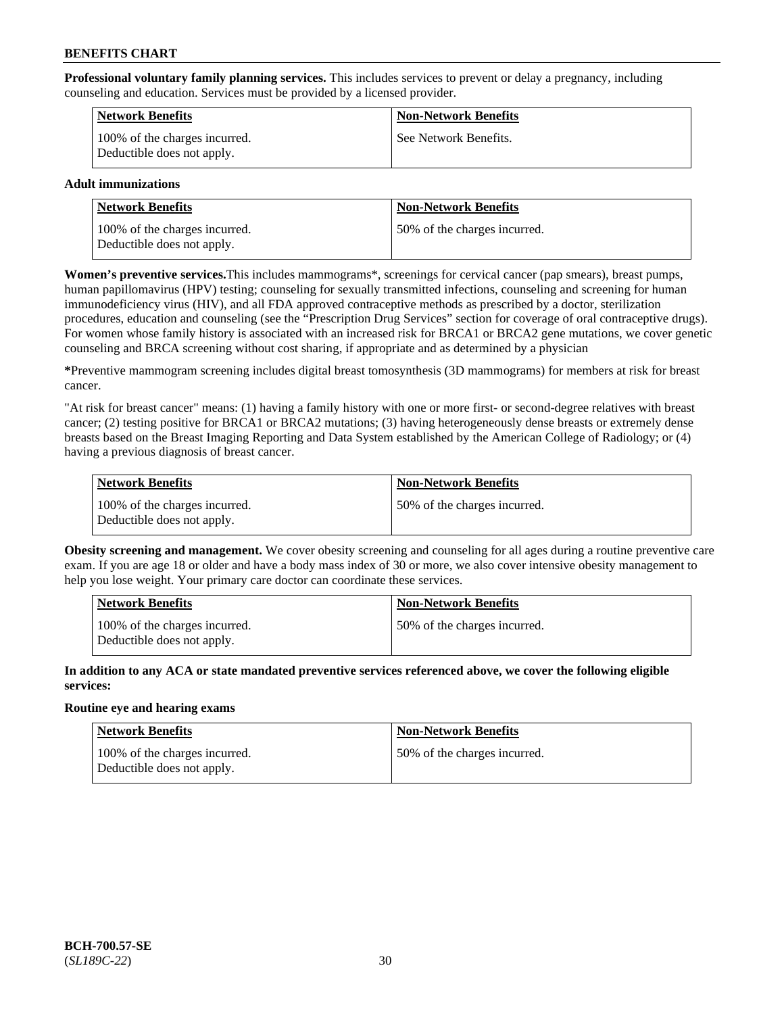**Professional voluntary family planning services.** This includes services to prevent or delay a pregnancy, including counseling and education. Services must be provided by a licensed provider.

| <b>Network Benefits</b>                                     | <b>Non-Network Benefits</b> |
|-------------------------------------------------------------|-----------------------------|
| 100% of the charges incurred.<br>Deductible does not apply. | See Network Benefits.       |

### **Adult immunizations**

| <b>Network Benefits</b>                                     | <b>Non-Network Benefits</b>  |
|-------------------------------------------------------------|------------------------------|
| 100% of the charges incurred.<br>Deductible does not apply. | 50% of the charges incurred. |

**Women's preventive services.**This includes mammograms\*, screenings for cervical cancer (pap smears), breast pumps, human papillomavirus (HPV) testing; counseling for sexually transmitted infections, counseling and screening for human immunodeficiency virus (HIV), and all FDA approved contraceptive methods as prescribed by a doctor, sterilization procedures, education and counseling (see the "Prescription Drug Services" section for coverage of oral contraceptive drugs). For women whose family history is associated with an increased risk for BRCA1 or BRCA2 gene mutations, we cover genetic counseling and BRCA screening without cost sharing, if appropriate and as determined by a physician

**\***Preventive mammogram screening includes digital breast tomosynthesis (3D mammograms) for members at risk for breast cancer.

"At risk for breast cancer" means: (1) having a family history with one or more first- or second-degree relatives with breast cancer; (2) testing positive for BRCA1 or BRCA2 mutations; (3) having heterogeneously dense breasts or extremely dense breasts based on the Breast Imaging Reporting and Data System established by the American College of Radiology; or (4) having a previous diagnosis of breast cancer.

| Network Benefits                                            | <b>Non-Network Benefits</b>  |
|-------------------------------------------------------------|------------------------------|
| 100% of the charges incurred.<br>Deductible does not apply. | 50% of the charges incurred. |

**Obesity screening and management.** We cover obesity screening and counseling for all ages during a routine preventive care exam. If you are age 18 or older and have a body mass index of 30 or more, we also cover intensive obesity management to help you lose weight. Your primary care doctor can coordinate these services.

| <b>Network Benefits</b>                                     | <b>Non-Network Benefits</b>   |
|-------------------------------------------------------------|-------------------------------|
| 100% of the charges incurred.<br>Deductible does not apply. | 150% of the charges incurred. |

**In addition to any ACA or state mandated preventive services referenced above, we cover the following eligible services:**

### **Routine eye and hearing exams**

| Network Benefits                                            | <b>Non-Network Benefits</b>  |
|-------------------------------------------------------------|------------------------------|
| 100% of the charges incurred.<br>Deductible does not apply. | 50% of the charges incurred. |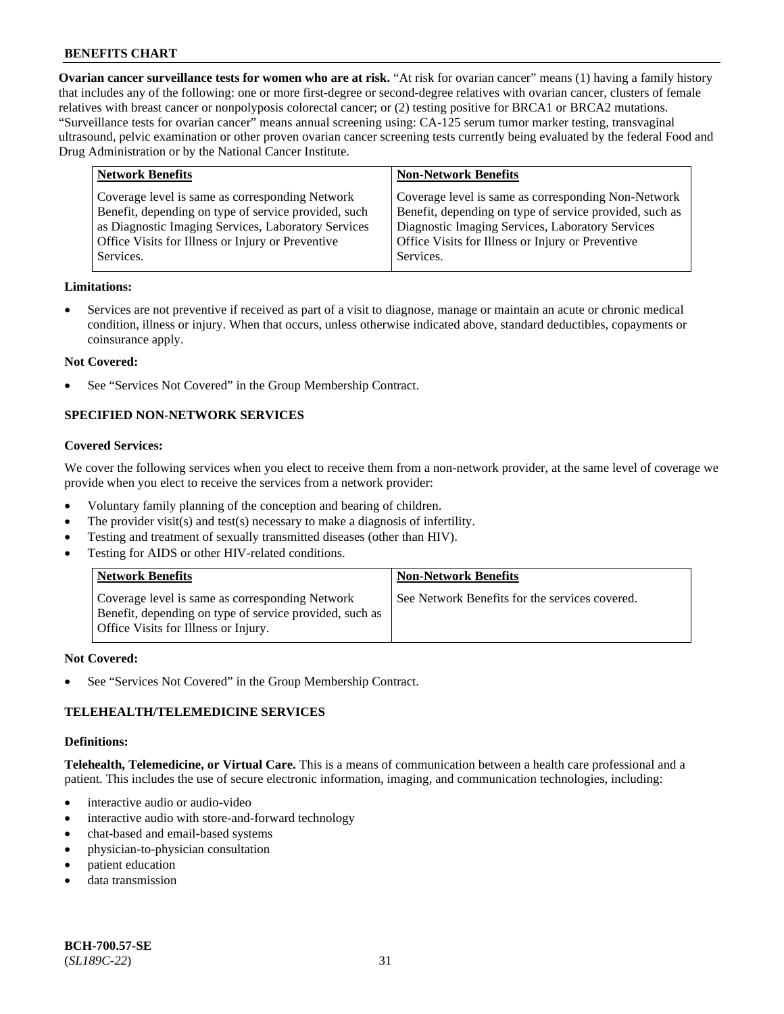**Ovarian cancer surveillance tests for women who are at risk.** "At risk for ovarian cancer" means (1) having a family history that includes any of the following: one or more first-degree or second-degree relatives with ovarian cancer, clusters of female relatives with breast cancer or nonpolyposis colorectal cancer; or (2) testing positive for BRCA1 or BRCA2 mutations. "Surveillance tests for ovarian cancer" means annual screening using: CA-125 serum tumor marker testing, transvaginal ultrasound, pelvic examination or other proven ovarian cancer screening tests currently being evaluated by the federal Food and Drug Administration or by the National Cancer Institute.

| <b>Network Benefits</b>                                                                                                                                                                                                          | <b>Non-Network Benefits</b>                                                                                                                                                                                                          |
|----------------------------------------------------------------------------------------------------------------------------------------------------------------------------------------------------------------------------------|--------------------------------------------------------------------------------------------------------------------------------------------------------------------------------------------------------------------------------------|
| Coverage level is same as corresponding Network<br>Benefit, depending on type of service provided, such<br>as Diagnostic Imaging Services, Laboratory Services<br>Office Visits for Illness or Injury or Preventive<br>Services. | Coverage level is same as corresponding Non-Network<br>Benefit, depending on type of service provided, such as<br>Diagnostic Imaging Services, Laboratory Services<br>Office Visits for Illness or Injury or Preventive<br>Services. |
|                                                                                                                                                                                                                                  |                                                                                                                                                                                                                                      |

### **Limitations:**

• Services are not preventive if received as part of a visit to diagnose, manage or maintain an acute or chronic medical condition, illness or injury. When that occurs, unless otherwise indicated above, standard deductibles, copayments or coinsurance apply.

### **Not Covered:**

See "Services Not Covered" in the Group Membership Contract.

# **SPECIFIED NON-NETWORK SERVICES**

#### **Covered Services:**

We cover the following services when you elect to receive them from a non-network provider, at the same level of coverage we provide when you elect to receive the services from a network provider:

- Voluntary family planning of the conception and bearing of children.
- The provider visit(s) and test(s) necessary to make a diagnosis of infertility.
- Testing and treatment of sexually transmitted diseases (other than HIV).
- Testing for AIDS or other HIV-related conditions.

| <b>Network Benefits</b>                                                                                                                            | <b>Non-Network Benefits</b>                    |
|----------------------------------------------------------------------------------------------------------------------------------------------------|------------------------------------------------|
| Coverage level is same as corresponding Network<br>Benefit, depending on type of service provided, such as<br>Office Visits for Illness or Injury. | See Network Benefits for the services covered. |

#### **Not Covered:**

See "Services Not Covered" in the Group Membership Contract.

### **TELEHEALTH/TELEMEDICINE SERVICES**

#### **Definitions:**

**Telehealth, Telemedicine, or Virtual Care.** This is a means of communication between a health care professional and a patient. This includes the use of secure electronic information, imaging, and communication technologies, including:

- interactive audio or audio-video
- interactive audio with store-and-forward technology
- chat-based and email-based systems
- physician-to-physician consultation
- patient education
- data transmission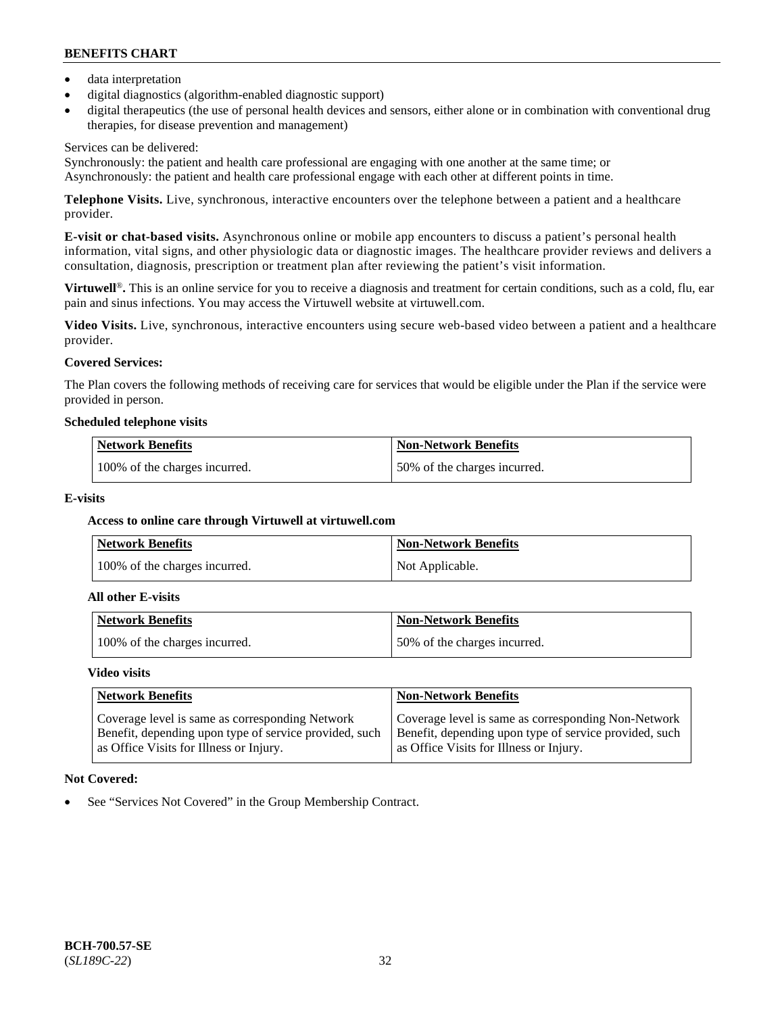- data interpretation
- digital diagnostics (algorithm-enabled diagnostic support)
- digital therapeutics (the use of personal health devices and sensors, either alone or in combination with conventional drug therapies, for disease prevention and management)

### Services can be delivered:

Synchronously: the patient and health care professional are engaging with one another at the same time; or Asynchronously: the patient and health care professional engage with each other at different points in time.

**Telephone Visits.** Live, synchronous, interactive encounters over the telephone between a patient and a healthcare provider.

**E-visit or chat-based visits.** Asynchronous online or mobile app encounters to discuss a patient's personal health information, vital signs, and other physiologic data or diagnostic images. The healthcare provider reviews and delivers a consultation, diagnosis, prescription or treatment plan after reviewing the patient's visit information.

**Virtuwell<sup>®</sup>**. This is an online service for you to receive a diagnosis and treatment for certain conditions, such as a cold, flu, ear pain and sinus infections. You may access the Virtuwell website at [virtuwell.com.](https://www.virtuwell.com/)

**Video Visits.** Live, synchronous, interactive encounters using secure web-based video between a patient and a healthcare provider.

# **Covered Services:**

The Plan covers the following methods of receiving care for services that would be eligible under the Plan if the service were provided in person.

### **Scheduled telephone visits**

| <b>Network Benefits</b>       | <b>Non-Network Benefits</b>  |
|-------------------------------|------------------------------|
| 100% of the charges incurred. | 50% of the charges incurred. |

### **E-visits**

### **Access to online care through Virtuwell at [virtuwell.com](https://www.virtuwell.com/)**

| <b>Network Benefits</b>       | <b>Non-Network Benefits</b> |
|-------------------------------|-----------------------------|
| 100% of the charges incurred. | Not Applicable.             |

#### **All other E-visits**

| Network Benefits              | <b>Non-Network Benefits</b>  |
|-------------------------------|------------------------------|
| 100% of the charges incurred. | 50% of the charges incurred. |

#### **Video visits**

| <b>Network Benefits</b>                                                                                                                              | <b>Non-Network Benefits</b>                                                                                                                              |
|------------------------------------------------------------------------------------------------------------------------------------------------------|----------------------------------------------------------------------------------------------------------------------------------------------------------|
| Coverage level is same as corresponding Network<br>Benefit, depending upon type of service provided, such<br>as Office Visits for Illness or Injury. | Coverage level is same as corresponding Non-Network<br>Benefit, depending upon type of service provided, such<br>as Office Visits for Illness or Injury. |

### **Not Covered:**

See "Services Not Covered" in the Group Membership Contract.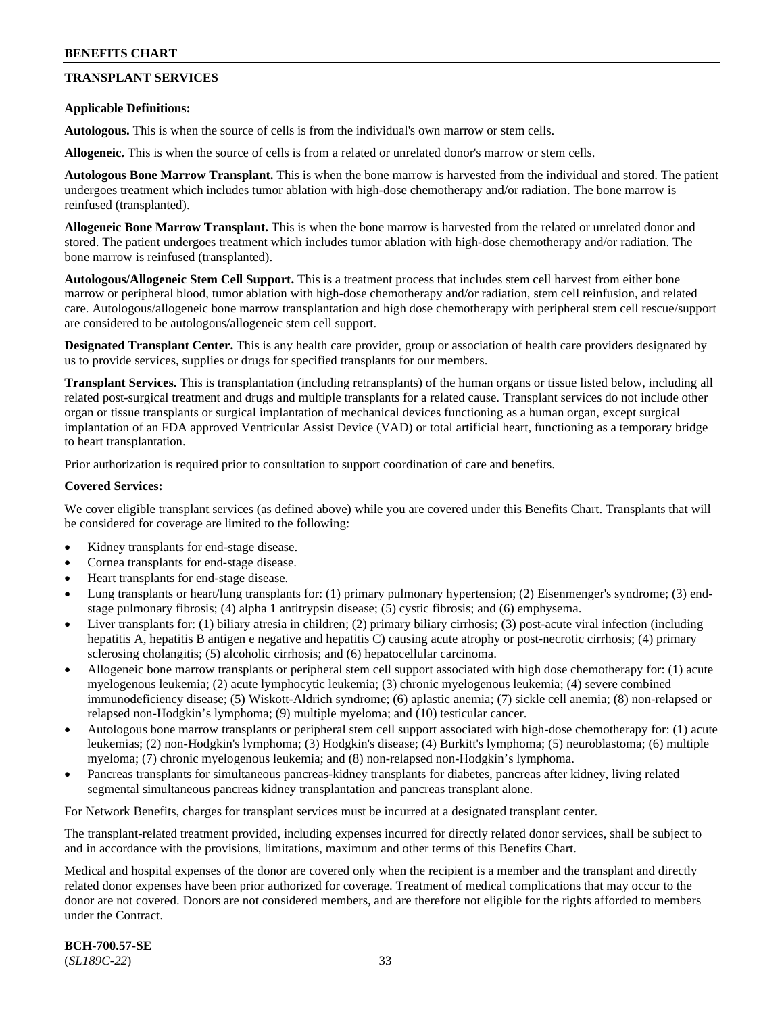# **TRANSPLANT SERVICES**

### **Applicable Definitions:**

**Autologous.** This is when the source of cells is from the individual's own marrow or stem cells.

**Allogeneic.** This is when the source of cells is from a related or unrelated donor's marrow or stem cells.

**Autologous Bone Marrow Transplant.** This is when the bone marrow is harvested from the individual and stored. The patient undergoes treatment which includes tumor ablation with high-dose chemotherapy and/or radiation. The bone marrow is reinfused (transplanted).

**Allogeneic Bone Marrow Transplant.** This is when the bone marrow is harvested from the related or unrelated donor and stored. The patient undergoes treatment which includes tumor ablation with high-dose chemotherapy and/or radiation. The bone marrow is reinfused (transplanted).

**Autologous/Allogeneic Stem Cell Support.** This is a treatment process that includes stem cell harvest from either bone marrow or peripheral blood, tumor ablation with high-dose chemotherapy and/or radiation, stem cell reinfusion, and related care. Autologous/allogeneic bone marrow transplantation and high dose chemotherapy with peripheral stem cell rescue/support are considered to be autologous/allogeneic stem cell support.

**Designated Transplant Center.** This is any health care provider, group or association of health care providers designated by us to provide services, supplies or drugs for specified transplants for our members.

**Transplant Services.** This is transplantation (including retransplants) of the human organs or tissue listed below, including all related post-surgical treatment and drugs and multiple transplants for a related cause. Transplant services do not include other organ or tissue transplants or surgical implantation of mechanical devices functioning as a human organ, except surgical implantation of an FDA approved Ventricular Assist Device (VAD) or total artificial heart, functioning as a temporary bridge to heart transplantation.

Prior authorization is required prior to consultation to support coordination of care and benefits.

### **Covered Services:**

We cover eligible transplant services (as defined above) while you are covered under this Benefits Chart. Transplants that will be considered for coverage are limited to the following:

- Kidney transplants for end-stage disease.
- Cornea transplants for end-stage disease.
- Heart transplants for end-stage disease.
- Lung transplants or heart/lung transplants for: (1) primary pulmonary hypertension; (2) Eisenmenger's syndrome; (3) endstage pulmonary fibrosis; (4) alpha 1 antitrypsin disease; (5) cystic fibrosis; and (6) emphysema.
- Liver transplants for: (1) biliary atresia in children; (2) primary biliary cirrhosis; (3) post-acute viral infection (including hepatitis A, hepatitis B antigen e negative and hepatitis C) causing acute atrophy or post-necrotic cirrhosis; (4) primary sclerosing cholangitis; (5) alcoholic cirrhosis; and (6) hepatocellular carcinoma.
- Allogeneic bone marrow transplants or peripheral stem cell support associated with high dose chemotherapy for: (1) acute myelogenous leukemia; (2) acute lymphocytic leukemia; (3) chronic myelogenous leukemia; (4) severe combined immunodeficiency disease; (5) Wiskott-Aldrich syndrome; (6) aplastic anemia; (7) sickle cell anemia; (8) non-relapsed or relapsed non-Hodgkin's lymphoma; (9) multiple myeloma; and (10) testicular cancer.
- Autologous bone marrow transplants or peripheral stem cell support associated with high-dose chemotherapy for: (1) acute leukemias; (2) non-Hodgkin's lymphoma; (3) Hodgkin's disease; (4) Burkitt's lymphoma; (5) neuroblastoma; (6) multiple myeloma; (7) chronic myelogenous leukemia; and (8) non-relapsed non-Hodgkin's lymphoma.
- Pancreas transplants for simultaneous pancreas-kidney transplants for diabetes, pancreas after kidney, living related segmental simultaneous pancreas kidney transplantation and pancreas transplant alone.

For Network Benefits, charges for transplant services must be incurred at a designated transplant center.

The transplant-related treatment provided, including expenses incurred for directly related donor services, shall be subject to and in accordance with the provisions, limitations, maximum and other terms of this Benefits Chart.

Medical and hospital expenses of the donor are covered only when the recipient is a member and the transplant and directly related donor expenses have been prior authorized for coverage. Treatment of medical complications that may occur to the donor are not covered. Donors are not considered members, and are therefore not eligible for the rights afforded to members under the Contract.